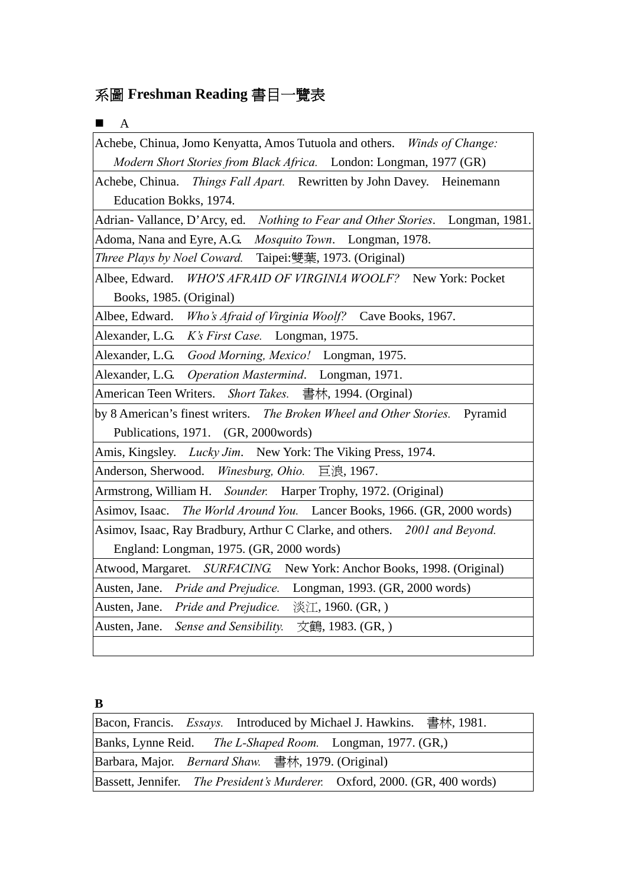# 系圖 **Freshman Reading** 書目一覽表

| ■<br>$\mathbf{A}$                                                                    |
|--------------------------------------------------------------------------------------|
| Achebe, Chinua, Jomo Kenyatta, Amos Tutuola and others. Winds of Change:             |
| Modern Short Stories from Black Africa. London: Longman, 1977 (GR)                   |
| Achebe, Chinua. Things Fall Apart. Rewritten by John Davey. Heinemann                |
| Education Bokks, 1974.                                                               |
| Adrian-Vallance, D'Arcy, ed.<br>Nothing to Fear and Other Stories.<br>Longman, 1981. |
| Adoma, Nana and Eyre, A.G.<br>Mosquito Town. Longman, 1978.                          |
| Three Plays by Noel Coward.<br>Taipei:雙葉, 1973. (Original)                           |
| Albee, Edward. WHO'S AFRAID OF VIRGINIA WOOLF? New York: Pocket                      |
| Books, 1985. (Original)                                                              |
| Albee, Edward. Who's Afraid of Virginia Woolf? Cave Books, 1967.                     |
| Alexander, L.G.<br>K's First Case. Longman, 1975.                                    |
| Alexander, L.G. Good Morning, Mexico! Longman, 1975.                                 |
| Alexander, L.G.<br>Operation Mastermind. Longman, 1971.                              |
| American Teen Writers. Short Takes. 書林, 1994. (Orginal)                              |
| by 8 American's finest writers. The Broken Wheel and Other Stories.<br>Pyramid       |
| Publications, 1971. (GR, 2000words)                                                  |
| Amis, Kingsley. Lucky Jim. New York: The Viking Press, 1974.                         |
| Anderson, Sherwood. Winesburg, Ohio. 巨浪, 1967.                                       |
| Armstrong, William H. Sounder. Harper Trophy, 1972. (Original)                       |
| Asimov, Isaac. The World Around You. Lancer Books, 1966. (GR, 2000 words)            |
| Asimov, Isaac, Ray Bradbury, Arthur C Clarke, and others. 2001 and Beyond.           |
| England: Longman, 1975. (GR, 2000 words)                                             |
| Atwood, Margaret. SURFACING. New York: Anchor Books, 1998. (Original)                |
| Austen, Jane. Pride and Prejudice.<br>Longman, 1993. (GR, 2000 words)                |
| Austen, Jane. Pride and Prejudice.<br>淡江, 1960. (GR, )                               |
| Austen, Jane. Sense and Sensibility.<br>文鶴, 1983. (GR, )                             |
|                                                                                      |

**B** 

|                                                           |  | Bacon, Francis. Essays. Introduced by Michael J. Hawkins. 書林, 1981.        |  |
|-----------------------------------------------------------|--|----------------------------------------------------------------------------|--|
|                                                           |  | Banks, Lynne Reid. <i>The L-Shaped Room.</i> Longman, 1977. (GR,)          |  |
| Barbara, Major. <i>Bernard Shaw.</i> 書林, 1979. (Original) |  |                                                                            |  |
|                                                           |  | Bassett, Jennifer. The President's Murderer. Oxford, 2000. (GR, 400 words) |  |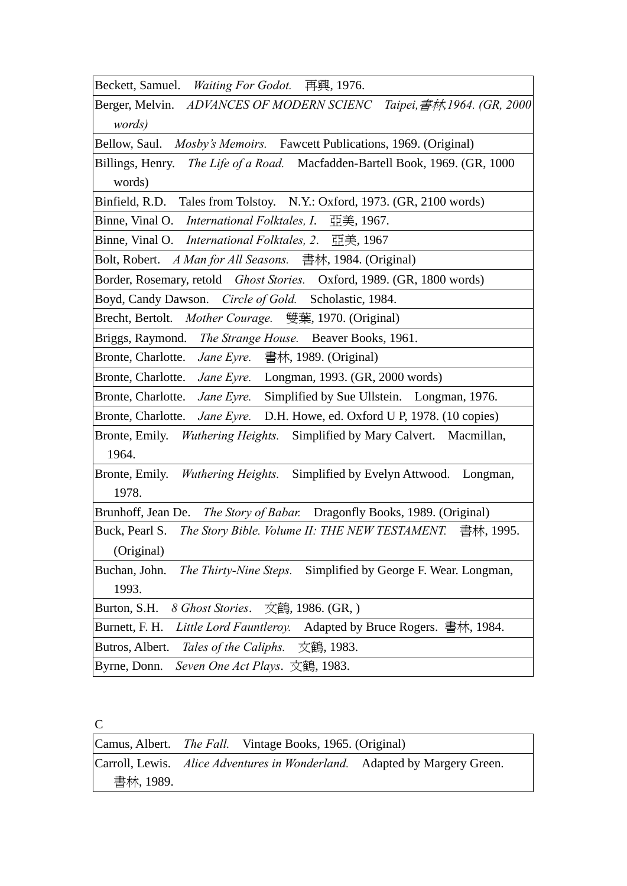Beckett, Samuel. *Waiting For Godot.* 再興, 1976.

Berger, Melvin. *ADVANCES OF MODERN SCIENC Taipei,*書林*,1964. (GR, 2000 words)*

Bellow, Saul. *Mosby's Memoirs.* Fawcett Publications, 1969. (Original)

Billings, Henry. *The Life of a Road.* Macfadden-Bartell Book, 1969. (GR, 1000 words)

Binfield, R.D. Tales from Tolstoy. N.Y.: Oxford, 1973. (GR, 2100 words)

Binne, Vinal O. *International Folktales, I*. 亞美, 1967.

Binne, Vinal O. *International Folktales, 2*. 亞美, 1967

Bolt, Robert. *A Man for All Seasons.* 書林, 1984. (Original)

Border, Rosemary, retold *Ghost Stories.* Oxford, 1989. (GR, 1800 words)

Boyd, Candy Dawson. *Circle of Gold.* Scholastic, 1984.

Brecht, Bertolt. *Mother Courage.* 雙葉, 1970. (Original)

Briggs, Raymond. *The Strange House.* Beaver Books, 1961.

Bronte, Charlotte. *Jane Eyre.* 書林, 1989. (Original)

Bronte, Charlotte. *Jane Eyre.* Longman, 1993. (GR, 2000 words)

Bronte, Charlotte. *Jane Eyre.* Simplified by Sue Ullstein. Longman, 1976.

Bronte, Charlotte. *Jane Eyre.* D.H. Howe, ed. Oxford U P, 1978. (10 copies)

Bronte, Emily. *Wuthering Heights.* Simplified by Mary Calvert. Macmillan, 1964.

Bronte, Emily. *Wuthering Heights.* Simplified by Evelyn Attwood. Longman, 1978.

Brunhoff, Jean De. *The Story of Babar.* Dragonfly Books, 1989. (Original)

Buck, Pearl S. *The Story Bible. Volume II: THE NEW TESTAMENT.* 書林, 1995. (Original)

Buchan, John. *The Thirty-Nine Steps.* Simplified by George F. Wear. Longman, 1993.

Burton, S.H. *8 Ghost Stories*. 文鶴, 1986. (GR, )

Burnett, F. H. *Little Lord Fauntleroy.* Adapted by Bruce Rogers. 書林, 1984.

Butros, Albert. *Tales of the Caliphs.* 文鶴, 1983.

Byrne, Donn. *Seven One Act Plays*. 文鶴, 1983.

 $\mathcal{C}$ 

Camus, Albert. *The Fall.* Vintage Books, 1965. (Original) Carroll, Lewis. *Alice Adventures in Wonderland.* Adapted by Margery Green. 書林, 1989.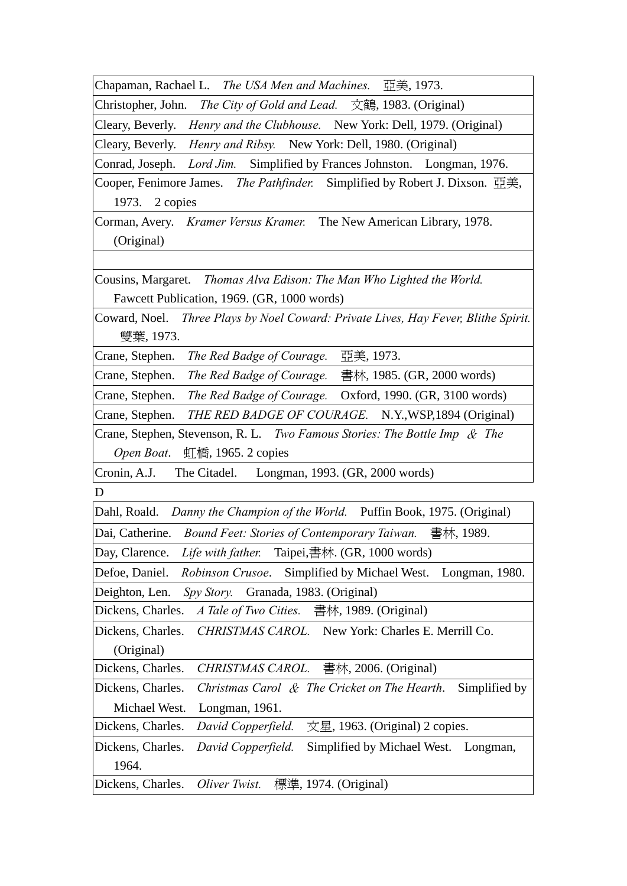Chapaman, Rachael L. *The USA Men and Machines.* 亞美, 1973.

Christopher, John. *The City of Gold and Lead.* 文鶴, 1983. (Original)

Cleary, Beverly. *Henry and the Clubhouse.* New York: Dell, 1979. (Original)

Cleary, Beverly. *Henry and Ribsy.* New York: Dell, 1980. (Original)

Conrad, Joseph. *Lord Jim.* Simplified by Frances Johnston. Longman, 1976.

Cooper, Fenimore James. *The Pathfinder.* Simplified by Robert J. Dixson. 亞美, 1973. 2 copies

Corman, Avery. *Kramer Versus Kramer.* The New American Library, 1978. (Original)

Cousins, Margaret. *Thomas Alva Edison: The Man Who Lighted the World.*  Fawcett Publication, 1969. (GR, 1000 words)

Coward, Noel. *Three Plays by Noel Coward: Private Lives, Hay Fever, Blithe Spirit.*  雙葉, 1973.

Crane, Stephen. *The Red Badge of Courage.* 亞美, 1973.

Crane, Stephen. *The Red Badge of Courage.* 書林, 1985. (GR, 2000 words)

Crane, Stephen. *The Red Badge of Courage.* Oxford, 1990. (GR, 3100 words)

Crane, Stephen. *THE RED BADGE OF COURAGE.* N.Y.,WSP,1894 (Original)

Crane, Stephen, Stevenson, R. L. *Two Famous Stories: The Bottle Imp* & *The Open Boat*. 虹橋, 1965. 2 copies

Cronin, A.J. The Citadel. Longman, 1993. (GR, 2000 words)

D

Dahl, Roald. *Danny the Champion of the World.* Puffin Book, 1975. (Original)

Dai, Catherine. *Bound Feet: Stories of Contemporary Taiwan.* 書林, 1989.

Day, Clarence. *Life with father.* Taipei,書林. (GR, 1000 words)

Defoe, Daniel. *Robinson Crusoe*. Simplified by Michael West. Longman, 1980. Deighton, Len. *Spy Story.* Granada, 1983. (Original)

Dickens, Charles. *A Tale of Two Cities.* 書林, 1989. (Original)

Dickens, Charles. *CHRISTMAS CAROL.* New York: Charles E. Merrill Co. (Original)

Dickens, Charles. *CHRISTMAS CAROL.* 書林, 2006. (Original)

Dickens, Charles. *Christmas Carol* & *The Cricket on The Hearth*. Simplified by Michael West. Longman, 1961.

Dickens, Charles. *David Copperfield.* 文星, 1963. (Original) 2 copies.

Dickens, Charles. *David Copperfield.* Simplified by Michael West. Longman, 1964.

Dickens, Charles. *Oliver Twist.* 標準, 1974. (Original)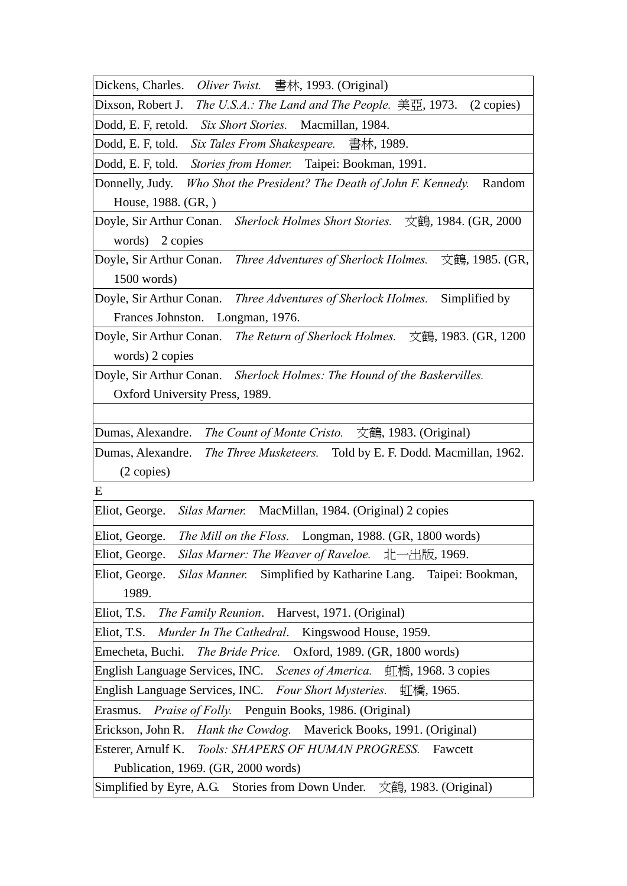Dickens, Charles. *Oliver Twist.* 書林, 1993. (Original)

Dixson, Robert J. *The U.S.A.: The Land and The People.* 美亞, 1973. (2 copies)

Dodd, E. F, retold. *Six Short Stories.* Macmillan, 1984.

Dodd, E. F, told. *Six Tales From Shakespeare.* 書林, 1989.

Dodd, E. F, told. *Stories from Homer.* Taipei: Bookman, 1991.

Donnelly, Judy. *Who Shot the President? The Death of John F. Kennedy.* Random House, 1988. (GR, )

Doyle, Sir Arthur Conan. *Sherlock Holmes Short Stories.* 文鶴, 1984. (GR, 2000 words) 2 copies

Doyle, Sir Arthur Conan. *Three Adventures of Sherlock Holmes.* 文鶴, 1985. (GR, 1500 words)

Doyle, Sir Arthur Conan. *Three Adventures of Sherlock Holmes.* Simplified by Frances Johnston. Longman, 1976.

Doyle, Sir Arthur Conan. *The Return of Sherlock Holmes.* 文鶴, 1983. (GR, 1200 words) 2 copies

Doyle, Sir Arthur Conan. *Sherlock Holmes: The Hound of the Baskervilles.*  Oxford University Press, 1989.

Dumas, Alexandre. *The Count of Monte Cristo.* 文鶴, 1983. (Original)

Dumas, Alexandre. *The Three Musketeers.* Told by E. F. Dodd. Macmillan, 1962. (2 copies)

E

Eliot, George. *Silas Marner.* MacMillan, 1984. (Original) 2 copies

Eliot, George. *The Mill on the Floss.* Longman, 1988. (GR, 1800 words) Eliot, George. *Silas Marner: The Weaver of Raveloe.* 北一出版, 1969.

Eliot, George. *Silas Manner.* Simplified by Katharine Lang. Taipei: Bookman, 1989.

Eliot, T.S. *The Family Reunion*. Harvest, 1971. (Original)

Eliot, T.S. *Murder In The Cathedral*. Kingswood House, 1959.

Emecheta, Buchi. *The Bride Price.* Oxford, 1989. (GR, 1800 words)

English Language Services, INC. *Scenes of America.* 虹橋, 1968. 3 copies

English Language Services, INC. *Four Short Mysteries.* 虹橋, 1965.

Erasmus. *Praise of Folly.* Penguin Books, 1986. (Original)

Erickson, John R. *Hank the Cowdog.* Maverick Books, 1991. (Original)

Esterer, Arnulf K. *Tools: SHAPERS OF HUMAN PROGRESS.* Fawcett Publication, 1969. (GR, 2000 words)

Simplified by Eyre, A.G. Stories from Down Under. 文鶴, 1983. (Original)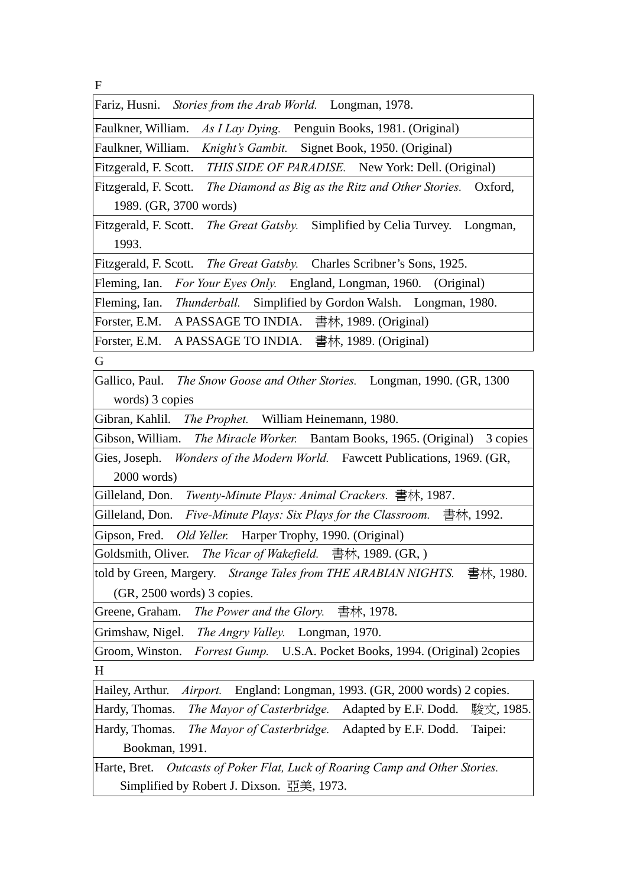F

| Fariz, Husni. Stories from the Arab World. |  |  |  | Longman, 1978. |
|--------------------------------------------|--|--|--|----------------|
|--------------------------------------------|--|--|--|----------------|

Faulkner, William. *As I Lay Dying.* Penguin Books, 1981. (Original)

Faulkner, William. *Knight's Gambit.* Signet Book, 1950. (Original)

Fitzgerald, F. Scott. *THIS SIDE OF PARADISE.* New York: Dell. (Original)

Fitzgerald, F. Scott. *The Diamond as Big as the Ritz and Other Stories.* Oxford, 1989. (GR, 3700 words)

Fitzgerald, F. Scott. *The Great Gatsby.* Simplified by Celia Turvey. Longman, 1993.

Fitzgerald, F. Scott. *The Great Gatsby.* Charles Scribner's Sons, 1925.

Fleming, Ian. *For Your Eyes Only.* England, Longman, 1960. (Original)

Fleming, Ian. *Thunderball.* Simplified by Gordon Walsh. Longman, 1980.

Forster, E.M. A PASSAGE TO INDIA. 書林, 1989. (Original)

Forster, E.M. A PASSAGE TO INDIA. 書林, 1989. (Original)

G

Gallico, Paul. *The Snow Goose and Other Stories.* Longman, 1990. (GR, 1300 words) 3 copies

Gibran, Kahlil. *The Prophet.* William Heinemann, 1980.

Gibson, William. *The Miracle Worker.* Bantam Books, 1965. (Original) 3 copies

Gies, Joseph. *Wonders of the Modern World.* Fawcett Publications, 1969. (GR, 2000 words)

Gilleland, Don. *Twenty-Minute Plays: Animal Crackers.* 書林, 1987.

Gilleland, Don. *Five-Minute Plays: Six Plays for the Classroom.* 書林, 1992.

Gipson, Fred. *Old Yeller.* Harper Trophy, 1990. (Original)

Goldsmith, Oliver. *The Vicar of Wakefield.* 書林, 1989. (GR, )

told by Green, Margery. *Strange Tales from THE ARABIAN NIGHTS.* 書林, 1980. (GR, 2500 words) 3 copies.

Greene, Graham. *The Power and the Glory.* 書林, 1978.

Grimshaw, Nigel. *The Angry Valley.* Longman, 1970.

Groom, Winston. *Forrest Gump.* U.S.A. Pocket Books, 1994. (Original) 2copies H

Hailey, Arthur. *Airport.* England: Longman, 1993. (GR, 2000 words) 2 copies.

Hardy, Thomas. *The Mayor of Casterbridge.* Adapted by E.F. Dodd. 駿文, 1985.

Hardy, Thomas. *The Mayor of Casterbridge.* Adapted by E.F. Dodd. Taipei: Bookman, 1991.

Harte, Bret. *Outcasts of Poker Flat, Luck of Roaring Camp and Other Stories.*  Simplified by Robert J. Dixson. 亞美, 1973.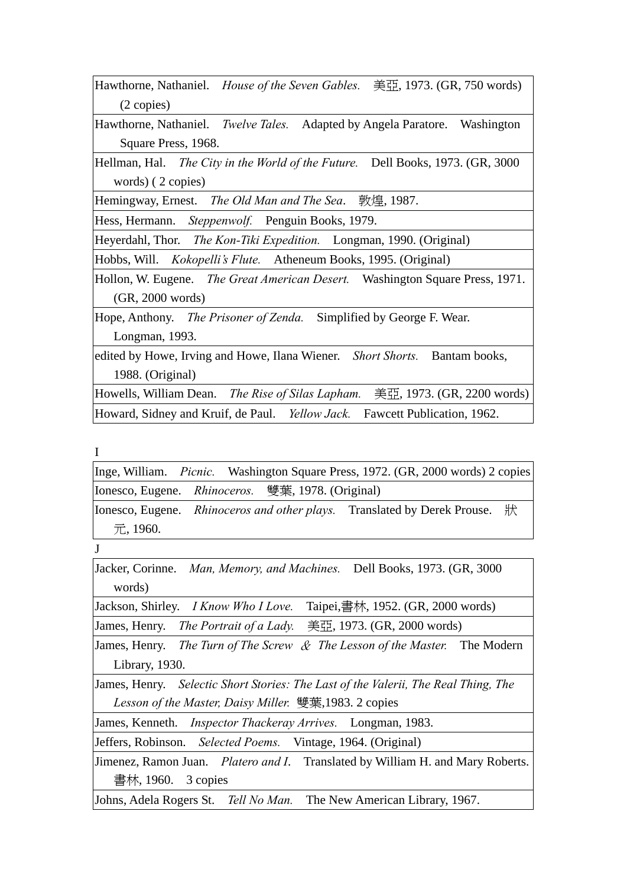|            | Hawthorne, Nathaniel. <i>House of the Seven Gables.</i> 美亞, 1973. (GR, 750 words) |
|------------|-----------------------------------------------------------------------------------|
| (2 copies) |                                                                                   |

Hawthorne, Nathaniel. *Twelve Tales.* Adapted by Angela Paratore. Washington Square Press, 1968.

Hellman, Hal. *The City in the World of the Future.* Dell Books, 1973. (GR, 3000 words) ( 2 copies)

Hemingway, Ernest. *The Old Man and The Sea*. 敦煌, 1987.

Hess, Hermann. *Steppenwolf.* Penguin Books, 1979.

Heyerdahl, Thor. *The Kon-Tiki Expedition.* Longman, 1990. (Original)

Hobbs, Will. *Kokopelli's Flute.* Atheneum Books, 1995. (Original)

Hollon, W. Eugene. *The Great American Desert.* Washington Square Press, 1971. (GR, 2000 words)

Hope, Anthony. *The Prisoner of Zenda.* Simplified by George F. Wear. Longman, 1993.

edited by Howe, Irving and Howe, Ilana Wiener. *Short Shorts.* Bantam books, 1988. (Original)

Howells, William Dean. *The Rise of Silas Lapham.* 美亞, 1973. (GR, 2200 words) Howard, Sidney and Kruif, de Paul. *Yellow Jack.* Fawcett Publication, 1962.

I

Inge, William. *Picnic.* Washington Square Press, 1972. (GR, 2000 words) 2 copies Ionesco, Eugene. *Rhinoceros.* 雙葉, 1978. (Original)

Ionesco, Eugene. *Rhinoceros and other plays.* Translated by Derek Prouse. 狀 元, 1960.

J

Jacker, Corinne. *Man, Memory, and Machines.* Dell Books, 1973. (GR, 3000 words)

Jackson, Shirley. *I Know Who I Love.* Taipei,書林, 1952. (GR, 2000 words) James, Henry. *The Portrait of a Lady.* 美亞, 1973. (GR, 2000 words)

James, Henry. *The Turn of The Screw* & *The Lesson of the Master.* The Modern Library, 1930.

James, Henry. *Selectic Short Stories: The Last of the Valerii, The Real Thing, The Lesson of the Master, Daisy Miller.* 雙葉,1983. 2 copies

James, Kenneth. *Inspector Thackeray Arrives.* Longman, 1983.

Jeffers, Robinson. *Selected Poems.* Vintage, 1964. (Original)

Jimenez, Ramon Juan. *Platero and I*. Translated by William H. and Mary Roberts. 書林, 1960. 3 copies

Johns, Adela Rogers St. *Tell No Man.* The New American Library, 1967.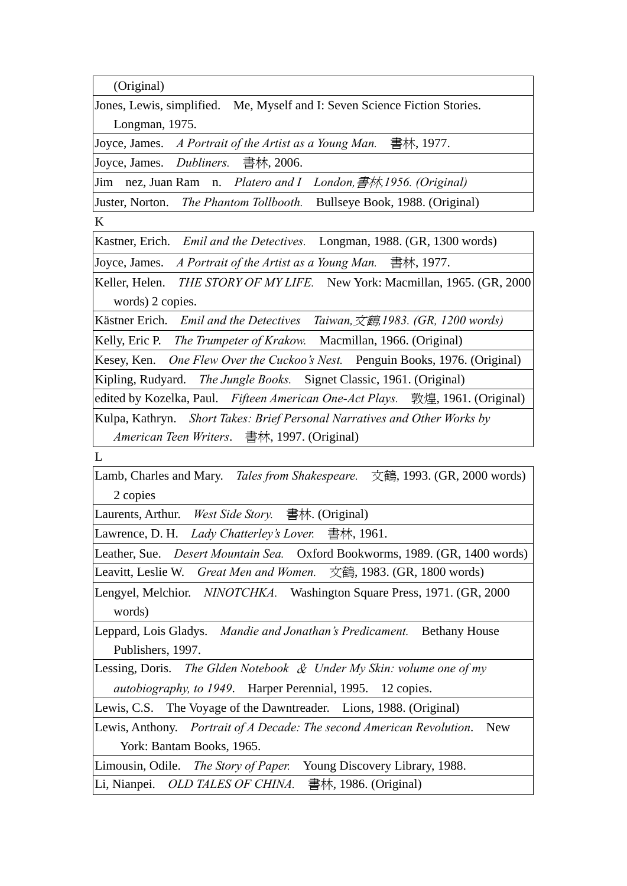(Original)

Jones, Lewis, simplified. Me, Myself and I: Seven Science Fiction Stories. Longman, 1975.

Joyce, James. *A Portrait of the Artist as a Young Man.* 書林, 1977.

Joyce, James. *Dubliners.* 書林, 2006.

Jim nez, Juan Ram n. *Platero and I London,*書林*,1956. (Original)*

Juster, Norton. *The Phantom Tollbooth.* Bullseye Book, 1988. (Original)

K

Kastner, Erich. *Emil and the Detectives.* Longman, 1988. (GR, 1300 words)

Joyce, James. *A Portrait of the Artist as a Young Man.* 書林, 1977.

Keller, Helen. *THE STORY OF MY LIFE.* New York: Macmillan, 1965. (GR, 2000 words) 2 copies.

Kästner Erich. *Emil and the Detectives Taiwan,*文鶴*,1983. (GR, 1200 words)*

Kelly, Eric P. *The Trumpeter of Krakow.* Macmillan, 1966. (Original)

Kesey, Ken. *One Flew Over the Cuckoo's Nest.* Penguin Books, 1976. (Original)

Kipling, Rudyard. *The Jungle Books.* Signet Classic, 1961. (Original)

edited by Kozelka, Paul. *Fifteen American One-Act Plays.* 敦煌, 1961. (Original)

Kulpa, Kathryn. *Short Takes: Brief Personal Narratives and Other Works by American Teen Writers*. 書林, 1997. (Original)

 $\mathbf{L}$ 

Lamb, Charles and Mary. *Tales from Shakespeare.* 文鶴, 1993. (GR, 2000 words) 2 copies

Laurents, Arthur. *West Side Story.* 書林. (Original)

Lawrence, D. H. *Lady Chatterley's Lover.* 書林, 1961.

Leather, Sue. *Desert Mountain Sea.* Oxford Bookworms, 1989. (GR, 1400 words)

Leavitt, Leslie W. *Great Men and Women.* 文鶴, 1983. (GR, 1800 words)

Lengyel, Melchior. *NINOTCHKA.* Washington Square Press, 1971. (GR, 2000 words)

Leppard, Lois Gladys. *Mandie and Jonathan's Predicament.* Bethany House Publishers, 1997.

Lessing, Doris. *The Glden Notebook* & *Under My Skin: volume one of my autobiography, to 1949*. Harper Perennial, 1995. 12 copies.

Lewis, C.S. The Voyage of the Dawntreader. Lions, 1988. (Original)

Lewis, Anthony. *Portrait of A Decade: The second American Revolution*. New York: Bantam Books, 1965.

Limousin, Odile. *The Story of Paper.* Young Discovery Library, 1988.

Li, Nianpei. *OLD TALES OF CHINA.* 書林, 1986. (Original)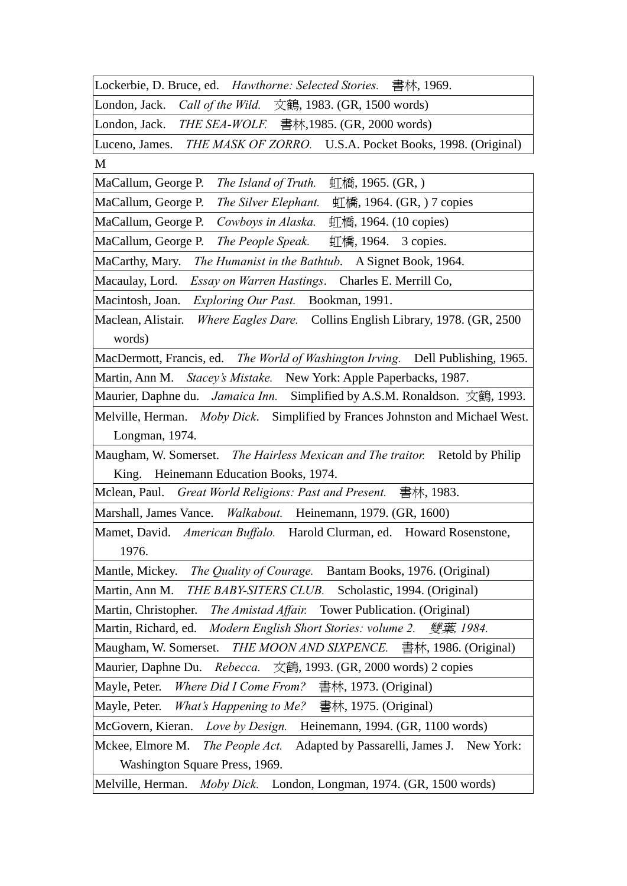| Lockerbie, D. Bruce, ed. Hawthorne: Selected Stories. 書林, 1969.                           |
|-------------------------------------------------------------------------------------------|
| [London, Jack. <i>Call of the Wild.</i> 文鶴, 1983. (GR, 1500 words)                        |
| London, Jack. <i>THE SEA-WOLF.</i> 書林, 1985. (GR, 2000 words)                             |
| Luceno, James. <i>THE MASK OF ZORRO</i> . U.S.A. Pocket Books, 1998. (Original)           |
| M                                                                                         |
| MaCallum, George P.<br>$\Pi$ 橋, 1965. (GR, )<br>The Island of Truth.                      |
| MaCallum, George P.<br>The Silver Elephant.<br>$\Pi$ 橋, 1964. (GR, ) 7 copies             |
| MaCallum, George P. Cowboys in Alaska.<br>$\Pi$ 橋, 1964. (10 copies)                      |
| MaCallum, George P.<br>The People Speak.<br>$\Pi$ 橋, 1964. 3 copies.                      |
| MaCarthy, Mary. The Humanist in the Bathtub. A Signet Book, 1964.                         |
| Macaulay, Lord. Essay on Warren Hastings. Charles E. Merrill Co,                          |
| Macintosh, Joan. Exploring Our Past. Bookman, 1991.                                       |
| Maclean, Alistair.<br><i>Where Eagles Dare.</i> Collins English Library, 1978. (GR, 2500) |
| words)                                                                                    |
| MacDermott, Francis, ed. The World of Washington Irving. Dell Publishing, 1965.           |
| Martin, Ann M. Stacey's Mistake. New York: Apple Paperbacks, 1987.                        |
| Maurier, Daphne du. <i>Jamaica Inn.</i> Simplified by A.S.M. Ronaldson. 文鶴, 1993.         |
| Melville, Herman. Moby Dick. Simplified by Frances Johnston and Michael West.             |
| Longman, 1974.                                                                            |
| Maugham, W. Somerset. The Hairless Mexican and The traitor. Retold by Philip              |
| King. Heinemann Education Books, 1974.                                                    |
| Mclean, Paul. <i>Great World Religions: Past and Present.</i> 書林, 1983.                   |
| Marshall, James Vance. Walkabout. Heinemann, 1979. (GR, 1600)                             |
| Mamet, David. American Buffalo. Harold Clurman, ed. Howard Rosenstone,                    |
| 1976.                                                                                     |
| Mantle, Mickey.<br>The Quality of Courage.<br>Bantam Books, 1976. (Original)              |
| Martin, Ann M.<br>THE BABY-SITERS CLUB.<br>Scholastic, 1994. (Original)                   |
| Martin, Christopher.<br>Tower Publication. (Original)<br>The Amistad Affair.              |
| Martin, Richard, ed.<br>Modern English Short Stories: volume 2. 雙葉, 1984.                 |
| THE MOON AND SIXPENCE.<br>Maugham, W. Somerset.<br>書林, 1986. (Original)                   |
| Rebecca. 文鶴, 1993. (GR, 2000 words) 2 copies<br>Maurier, Daphne Du.                       |
| Where Did I Come From?<br>Mayle, Peter.<br>書林, 1973. (Original)                           |
| Mayle, Peter.<br>What's Happening to Me?<br>書林, 1975. (Original)                          |
| McGovern, Kieran.<br>Heinemann, 1994. (GR, 1100 words)<br>Love by Design.                 |
| Mckee, Elmore M.<br>The People Act.<br>Adapted by Passarelli, James J. New York:          |
| Washington Square Press, 1969.                                                            |
| Melville, Herman.<br>Moby Dick.<br>London, Longman, 1974. (GR, 1500 words)                |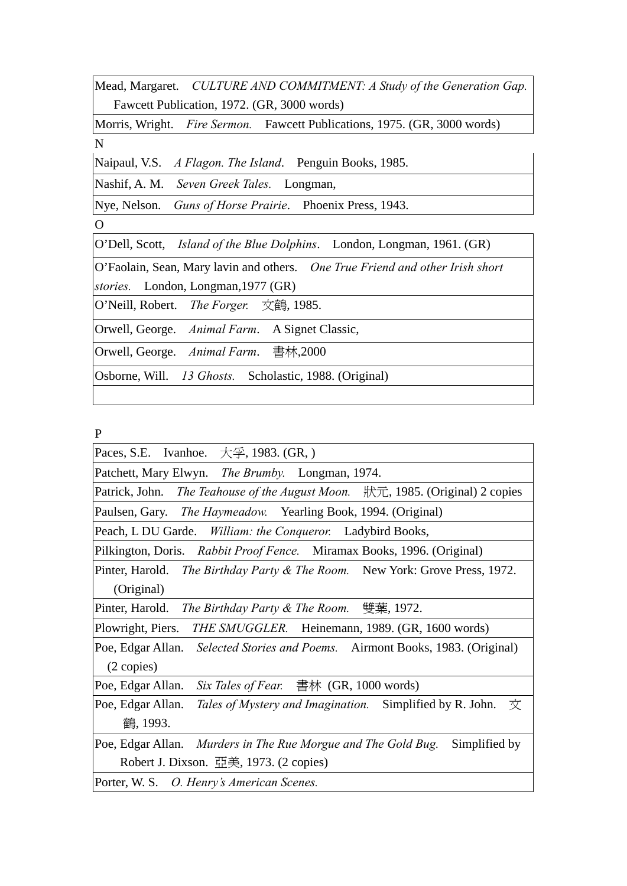Mead, Margaret. *CULTURE AND COMMITMENT: A Study of the Generation Gap.*  Fawcett Publication, 1972. (GR, 3000 words)

Morris, Wright. *Fire Sermon.* Fawcett Publications, 1975. (GR, 3000 words) N

Naipaul, V.S. *A Flagon. The Island*. Penguin Books, 1985.

Nashif, A. M. *Seven Greek Tales.* Longman,

Nye, Nelson. *Guns of Horse Prairie*. Phoenix Press, 1943.

O

O'Dell, Scott, *Island of the Blue Dolphins*. London, Longman, 1961. (GR)

O'Faolain, Sean, Mary lavin and others. *One True Friend and other Irish short stories.* London, Longman,1977 (GR)

O'Neill, Robert. *The Forger.* 文鶴, 1985.

Orwell, George. *Animal Farm*. A Signet Classic,

Orwell, George. *Animal Farm*. 書林,2000

Osborne, Will. *13 Ghosts.* Scholastic, 1988. (Original)

P

| $\mathbf{P}$                                                                           |
|----------------------------------------------------------------------------------------|
| Paces, S.E. Ivanhoe. $\overline{\mathcal{F}}$ , 1983. (GR, )                           |
| Patchett, Mary Elwyn. The Brumby. Longman, 1974.                                       |
| Patrick, John. <i>The Teahouse of the August Moon.</i>   狀元, 1985. (Original) 2 copies |
| Paulsen, Gary. The Haymeadow. Yearling Book, 1994. (Original)                          |
| Peach, L DU Garde. William: the Conqueror. Ladybird Books,                             |
| Pilkington, Doris. Rabbit Proof Fence. Miramax Books, 1996. (Original)                 |
| Pinter, Harold. The Birthday Party & The Room. New York: Grove Press, 1972.            |
| (Original)                                                                             |
| Pinter, Harold. <i>The Birthday Party &amp; The Room.</i> 雙葉, 1972.                    |
| Plowright, Piers.<br>THE SMUGGLER. Heinemann, 1989. (GR, 1600 words)                   |
| Poe, Edgar Allan. Selected Stories and Poems. Airmont Books, 1983. (Original)          |
| $(2 \text{ copies})$                                                                   |
| Six Tales of Fear. $\equiv$ 春林 (GR, 1000 words)<br>Poe, Edgar Allan.                   |
| Poe, Edgar Allan.<br>Tales of Mystery and Imagination. Simplified by R. John.<br>一文    |
| 鶴, 1993.                                                                               |
| Poe, Edgar Allan. Murders in The Rue Morgue and The Gold Bug.<br>Simplified by         |
| Robert J. Dixson. $\overline{\mathbb{H}}\tilde{\mathbb{H}}$ , 1973. (2 copies)         |
| Porter, W. S. O. Henry's American Scenes.                                              |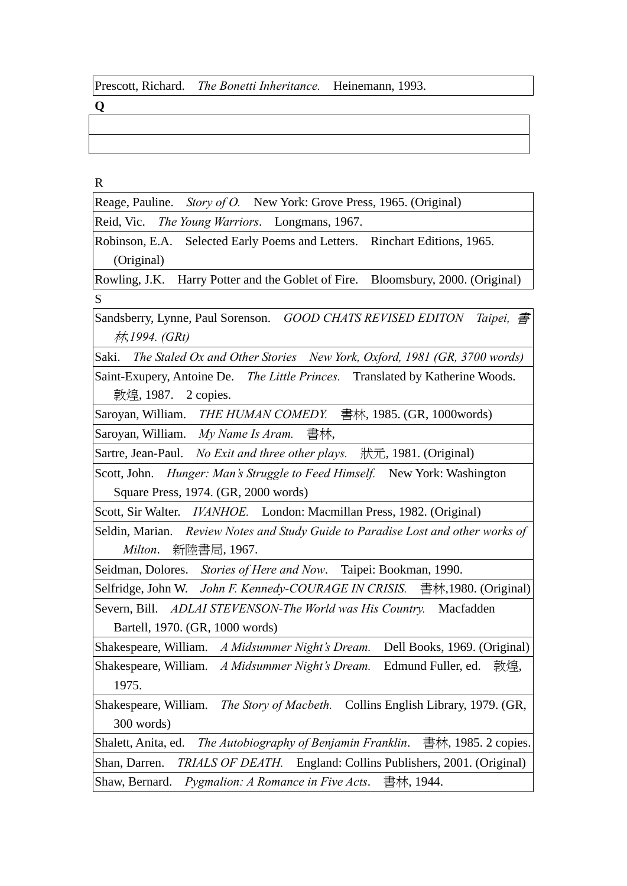**Q** 

R

| Reage, Pauline. Story of O. New York: Grove Press, 1965. (Original) |  |
|---------------------------------------------------------------------|--|
|---------------------------------------------------------------------|--|

Reid, Vic. *The Young Warriors*. Longmans, 1967.

Robinson, E.A. Selected Early Poems and Letters. Rinchart Editions, 1965. (Original)

Rowling, J.K. Harry Potter and the Goblet of Fire. Bloomsbury, 2000. (Original) S

Sandsberry, Lynne, Paul Sorenson. *GOOD CHATS REVISED EDITON Taipei,* 書 林*,1994. (GRt)*

Saki. *The Staled Ox and Other Stories New York, Oxford, 1981 (GR, 3700 words)*

Saint-Exupery, Antoine De. *The Little Princes.* Translated by Katherine Woods. 敦煌, 1987. 2 copies.

Saroyan, William. *THE HUMAN COMEDY.* 書林, 1985. (GR, 1000words) Saroyan, William. *My Name Is Aram.* 書林,

Sartre, Jean-Paul. *No Exit and three other plays.* 狀元, 1981. (Original)

Scott, John. *Hunger: Man's Struggle to Feed Himself.* New York: Washington Square Press, 1974. (GR, 2000 words)

Scott, Sir Walter. *IVANHOE.* London: Macmillan Press, 1982. (Original)

Seldin, Marian. *Review Notes and Study Guide to Paradise Lost and other works of Milton*. 新陸書局, 1967.

Seidman, Dolores. *Stories of Here and Now*. Taipei: Bookman, 1990.

Selfridge, John W. *John F. Kennedy-COURAGE IN CRISIS.* 書林,1980. (Original)

Severn, Bill. *ADLAI STEVENSON-The World was His Country.* Macfadden Bartell, 1970. (GR, 1000 words)

Shakespeare, William. *A Midsummer Night's Dream.* Dell Books, 1969. (Original) Shakespeare, William. *A Midsummer Night's Dream.* Edmund Fuller, ed. 敦煌, 1975.

Shakespeare, William. *The Story of Macbeth.* Collins English Library, 1979. (GR, 300 words)

Shalett, Anita, ed. *The Autobiography of Benjamin Franklin*. 書林, 1985. 2 copies. Shan, Darren. *TRIALS OF DEATH.* England: Collins Publishers, 2001. (Original) Shaw, Bernard. *Pygmalion: A Romance in Five Acts*. 書林, 1944.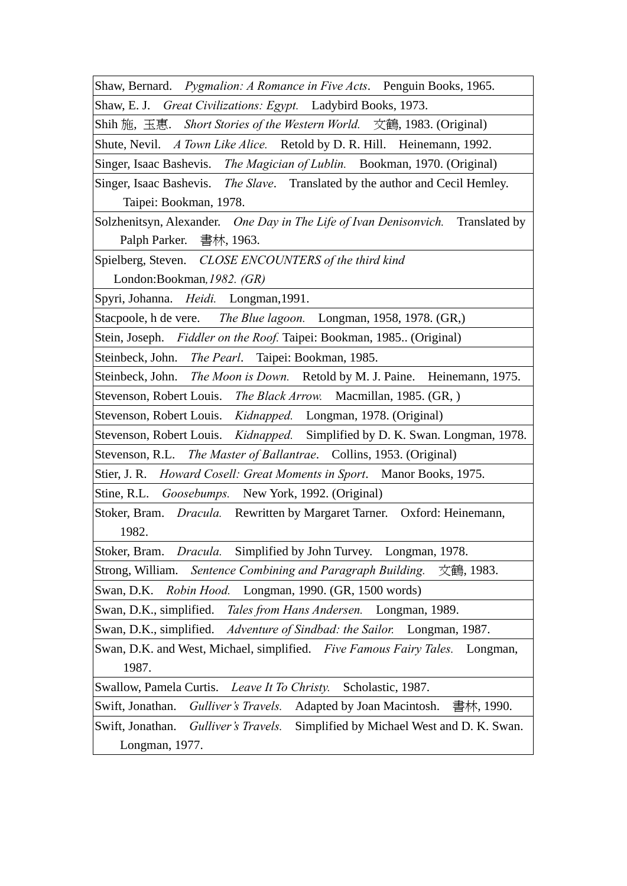Shaw, Bernard. *Pygmalion: A Romance in Five Acts*. Penguin Books, 1965.

Shaw, E. J. *Great Civilizations: Egypt.* Ladybird Books, 1973.

Shih 施, 玉惠. *Short Stories of the Western World.* 文鶴, 1983. (Original)

Shute, Nevil. *A Town Like Alice.* Retold by D. R. Hill. Heinemann, 1992.

Singer, Isaac Bashevis. *The Magician of Lublin.* Bookman, 1970. (Original)

Singer, Isaac Bashevis. *The Slave*. Translated by the author and Cecil Hemley. Taipei: Bookman, 1978.

Solzhenitsyn, Alexander. *One Day in The Life of Ivan Denisonvich.* Translated by Palph Parker. 書林, 1963.

Spielberg, Steven. *CLOSE ENCOUNTERS of the third kind* 

London:Bookman*,1982. (GR)*

Spyri, Johanna. *Heidi.* Longman,1991.

Stacpoole, h de vere. *The Blue lagoon.* Longman, 1958, 1978. (GR,)

Stein, Joseph. *Fiddler on the Roof.* Taipei: Bookman, 1985.. (Original)

Steinbeck, John. *The Pearl*. Taipei: Bookman, 1985.

Steinbeck, John. *The Moon is Down.* Retold by M. J. Paine. Heinemann, 1975.

Stevenson, Robert Louis. *The Black Arrow.* Macmillan, 1985. (GR, )

Stevenson, Robert Louis. *Kidnapped.* Longman, 1978. (Original)

Stevenson, Robert Louis. *Kidnapped.* Simplified by D. K. Swan. Longman, 1978.

Stevenson, R.L. *The Master of Ballantrae*. Collins, 1953. (Original)

Stier, J. R. *Howard Cosell: Great Moments in Sport*. Manor Books, 1975.

Stine, R.L. *Goosebumps.* New York, 1992. (Original)

Stoker, Bram. *Dracula.* Rewritten by Margaret Tarner. Oxford: Heinemann, 1982.

Stoker, Bram. *Dracula.* Simplified by John Turvey. Longman, 1978.

Strong, William. *Sentence Combining and Paragraph Building.* 文鶴, 1983.

Swan, D.K. *Robin Hood.* Longman, 1990. (GR, 1500 words)

Swan, D.K., simplified. *Tales from Hans Andersen.* Longman, 1989.

Swan, D.K., simplified. *Adventure of Sindbad: the Sailor.* Longman, 1987.

Swan, D.K. and West, Michael, simplified. *Five Famous Fairy Tales.* Longman, 1987.

Swallow, Pamela Curtis. *Leave It To Christy.* Scholastic, 1987.

Swift, Jonathan. *Gulliver's Travels.* Adapted by Joan Macintosh. 書林, 1990.

Swift, Jonathan. *Gulliver's Travels.* Simplified by Michael West and D. K. Swan. Longman, 1977.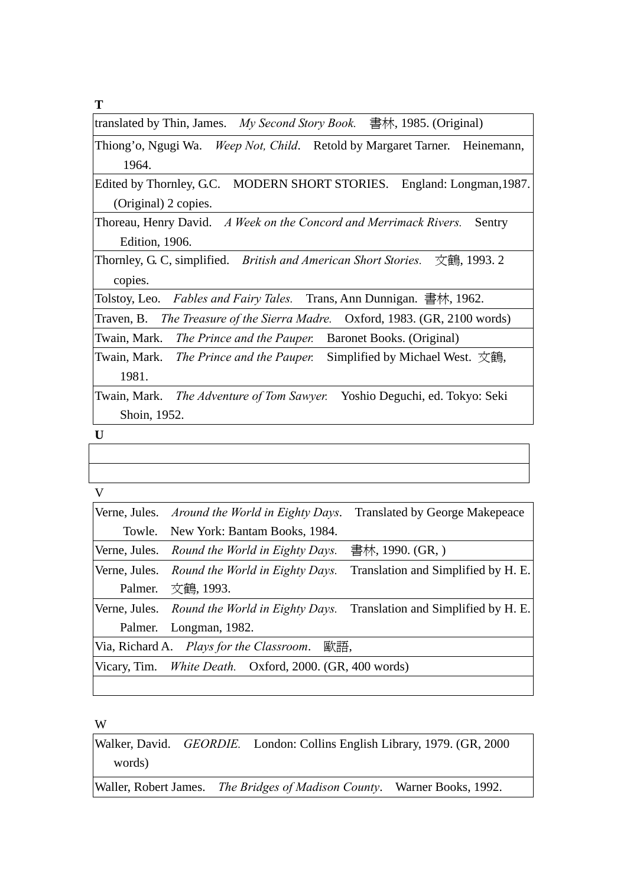**T**

| 書林, 1985. (Original)<br>translated by Thin, James. My Second Story Book. |  |
|--------------------------------------------------------------------------|--|
|--------------------------------------------------------------------------|--|

Thiong'o, Ngugi Wa. *Weep Not, Child*. Retold by Margaret Tarner. Heinemann, 1964.

Edited by Thornley, G.C. MODERN SHORT STORIES. England: Longman, 1987. (Original) 2 copies.

Thoreau, Henry David. *A Week on the Concord and Merrimack Rivers.* Sentry Edition, 1906.

Thornley, G. C, simplified. *British and American Short Stories.* 文鶴, 1993. 2 copies.

Tolstoy, Leo. *Fables and Fairy Tales.* Trans, Ann Dunnigan. 書林, 1962.

Traven, B. *The Treasure of the Sierra Madre.* Oxford, 1983. (GR, 2100 words)

Twain, Mark. *The Prince and the Pauper.* Baronet Books. (Original)

Twain, Mark. *The Prince and the Pauper.* Simplified by Michael West. 文鶴, 1981.

Twain, Mark. *The Adventure of Tom Sawyer.* Yoshio Deguchi, ed. Tokyo: Seki Shoin, 1952.

**U** 

V

|         | Verne, Jules. Around the World in Eighty Days.                 | <b>Translated by George Makepeace</b> |
|---------|----------------------------------------------------------------|---------------------------------------|
|         | Towle. New York: Bantam Books, 1984.                           |                                       |
|         | Verne, Jules. Round the World in Eighty Days.                  | 書林, 1990. (GR, )                      |
|         | Verne, Jules. Round the World in Eighty Days.                  | Translation and Simplified by H. E.   |
| Palmer. | 文鶴, 1993.                                                      |                                       |
|         | Verne, Jules. Round the World in Eighty Days.                  | Translation and Simplified by H. E.   |
|         | Palmer. Longman, 1982.                                         |                                       |
|         | 歐語,<br>Via, Richard A. Plays for the Classroom.                |                                       |
|         | Vicary, Tim. <i>White Death.</i> Oxford, 2000. (GR, 400 words) |                                       |
|         |                                                                |                                       |

W

Walker, David. *GEORDIE.* London: Collins English Library, 1979. (GR, 2000 words)

Waller, Robert James. *The Bridges of Madison County*. Warner Books, 1992.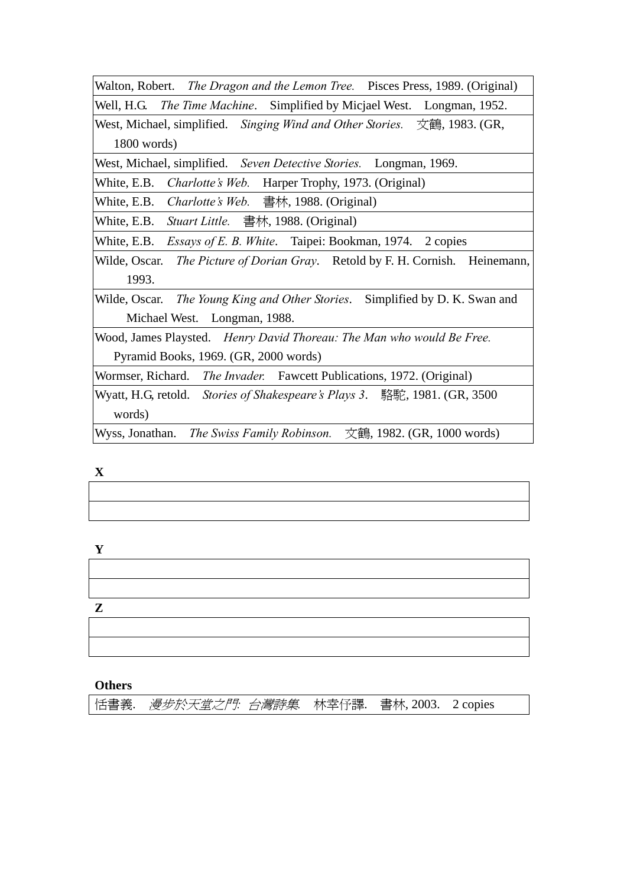Walton, Robert. *The Dragon and the Lemon Tree.* Pisces Press, 1989. (Original) Well, H.G. *The Time Machine*. Simplified by Micjael West. Longman, 1952.

West, Michael, simplified. *Singing Wind and Other Stories.* 文鶴, 1983. (GR, 1800 words)

West, Michael, simplified. *Seven Detective Stories.* Longman, 1969.

White, E.B. *Charlotte's Web.* Harper Trophy, 1973. (Original)

White, E.B. *Charlotte's Web.* 書林, 1988. (Original)

White, E.B. *Stuart Little.* 書林, 1988. (Original)

White, E.B. *Essays of E. B. White*. Taipei: Bookman, 1974. 2 copies

Wilde, Oscar. *The Picture of Dorian Gray*. Retold by F. H. Cornish. Heinemann, 1993.

Wilde, Oscar. *The Young King and Other Stories*. Simplified by D. K. Swan and Michael West. Longman, 1988.

Wood, James Playsted. *Henry David Thoreau: The Man who would Be Free.*  Pyramid Books, 1969. (GR, 2000 words)

Wormser, Richard. *The Invader.* Fawcett Publications, 1972. (Original)

Wyatt, H.G, retold. *Stories of Shakespeare's Plays 3*. 駱駝, 1981. (GR, 3500) words)

Wyss, Jonathan. *The Swiss Family Robinson.* 文鶴, 1982. (GR, 1000 words)

**X** 

| . |  |  |
|---|--|--|
|   |  |  |
|   |  |  |
|   |  |  |
|   |  |  |
|   |  |  |

**Y** 

**Z** 

### **Others**

恬書義. 漫步於天堂之門*:* 台灣詩集*.* 林幸伃譯. 書林, 2003. 2 copies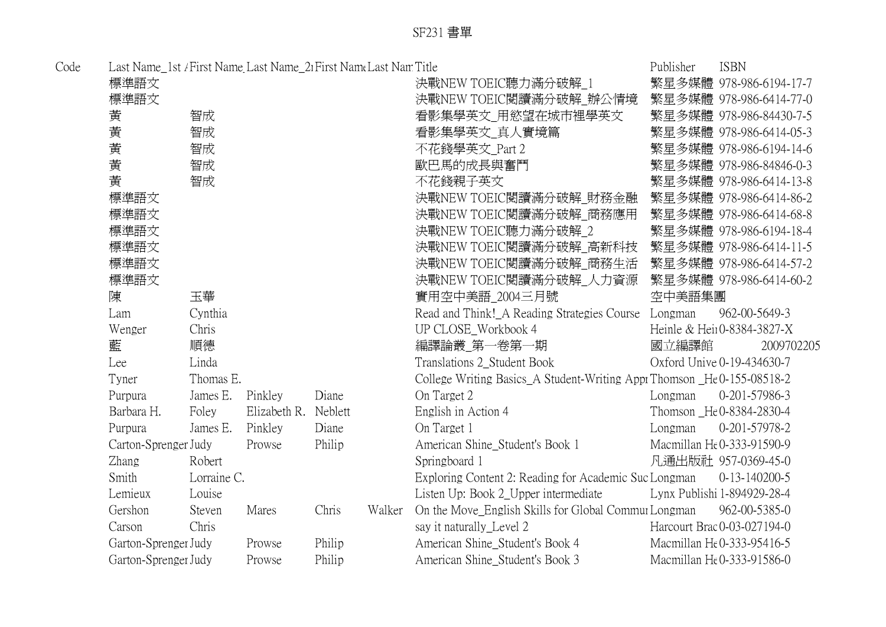| Code | Last Name_1st / First Name_Last Name_21 First Name Last Nam Title |             |                      |        |        |                                                                        | Publisher | <b>ISBN</b>                 |
|------|-------------------------------------------------------------------|-------------|----------------------|--------|--------|------------------------------------------------------------------------|-----------|-----------------------------|
|      | 標準語文                                                              |             |                      |        |        | 決戰NEW TOEIC聽力滿分破解_1                                                    |           | 繁星多媒體 978-986-6194-17-7     |
|      | 標準語文                                                              |             |                      |        |        | 決戰NEW TOEIC閱讀滿分破解 辦公情境                                                 |           | 繁星多媒體 978-986-6414-77-0     |
|      | 黃                                                                 | 智成          |                      |        |        | 看影集學英文 用慾望在城市裡學英文                                                      |           | 繁星多媒體 978-986-84430-7-5     |
|      | 黄                                                                 | 智成          |                      |        |        | 看影集學英文 真人實境篇                                                           |           | 繁星多媒體 978-986-6414-05-3     |
|      | 黃                                                                 | 智成          |                      |        |        | 不花錢學英文 Part 2                                                          |           | 繁星多媒體 978-986-6194-14-6     |
|      | 黃                                                                 | 智成          |                      |        |        | 歐巴馬的成長與奮鬥                                                              |           | 繁星多媒體 978-986-84846-0-3     |
|      | 黃                                                                 | 智成          |                      |        |        | 不花錢親子英文                                                                |           | 繁星多媒體 978-986-6414-13-8     |
|      | 標準語文                                                              |             |                      |        |        | 決戰NEW TOEIC閱讀滿分破解_財務金融                                                 |           | 繁星多媒體 978-986-6414-86-2     |
|      | 標準語文                                                              |             |                      |        |        | 決戰NEW TOEIC閱讀滿分破解_商務應用                                                 |           | 繁星多媒體 978-986-6414-68-8     |
|      | 標準語文                                                              |             |                      |        |        | 決戰NEW TOEIC聽力滿分破解_2                                                    |           | 繁星多媒體 978-986-6194-18-4     |
|      | 標準語文                                                              |             |                      |        |        | 決戰NEW TOEIC閱讀滿分破解_高新科技                                                 |           | 繁星多媒體 978-986-6414-11-5     |
|      | 標準語文                                                              |             |                      |        |        | 決戰NEW TOEIC閱讀滿分破解_商務生活                                                 |           | 繁星多媒體 978-986-6414-57-2     |
|      | 標準語文                                                              |             |                      |        |        | 決戰NEW TOEIC閱讀滿分破解_人力資源                                                 |           | 繁星多媒體 978-986-6414-60-2     |
|      | 陳                                                                 | 玉華          |                      |        |        | 實用空中美語_2004三月號                                                         | 空中美語集團    |                             |
|      | Lam                                                               | Cynthia     |                      |        |        | Read and Think!_A Reading Strategies Course                            | Longman   | 962-00-5649-3               |
|      | Wenger                                                            | Chris       |                      |        |        | <b>UP CLOSE_Workbook 4</b>                                             |           | Heinle & Heir0-8384-3827-X  |
|      | 藍                                                                 | 順德          |                      |        |        | 編譯論叢_第一卷第一期                                                            | 國立編譯館     | 2009702205                  |
|      | Lee                                                               | Linda       |                      |        |        | Translations 2_Student Book                                            |           | Oxford Unive 0-19-434630-7  |
|      | Tyner                                                             | Thomas E.   |                      |        |        | College Writing Basics_A Student-Writing Appr Thomson _He0-155-08518-2 |           |                             |
|      | Purpura                                                           | James E.    | Pinkley              | Diane  |        | On Target 2                                                            | Longman   | 0-201-57986-3               |
|      | Barbara H.                                                        | Foley       | Elizabeth R. Neblett |        |        | English in Action 4                                                    |           | Thomson _He 0-8384-2830-4   |
|      | Purpura                                                           | James E.    | Pinkley              | Diane  |        | On Target 1                                                            | Longman   | 0-201-57978-2               |
|      | Carton-Sprenger Judy                                              |             | Prowse               | Philip |        | American Shine_Student's Book 1                                        |           | Macmillan He0-333-91590-9   |
|      | <b>Zhang</b>                                                      | Robert      |                      |        |        | Springboard 1                                                          |           | 凡通出版社 957-0369-45-0         |
|      | Smith                                                             | Lorraine C. |                      |        |        | Exploring Content 2: Reading for Academic Suc Longman                  |           | $0-13-140200-5$             |
|      | Lemieux                                                           | Louise      |                      |        |        | Listen Up: Book 2_Upper intermediate                                   |           | Lynx Publishi 1-894929-28-4 |
|      | Gershon                                                           | Steven      | Mares                | Chris  | Walker | On the Move_English Skills for Global Commur Longman                   |           | 962-00-5385-0               |
|      | Carson                                                            | Chris       |                      |        |        | say it naturally_Level 2                                               |           | Harcourt Brac 0-03-027194-0 |
|      | Garton-Sprenger Judy                                              |             | Prowse               | Philip |        | American Shine_Student's Book 4                                        |           | Macmillan He0-333-95416-5   |
|      | Garton-Sprenger Judy                                              |             | Prowse               | Philip |        | American Shine_Student's Book 3                                        |           | Macmillan He0-333-91586-0   |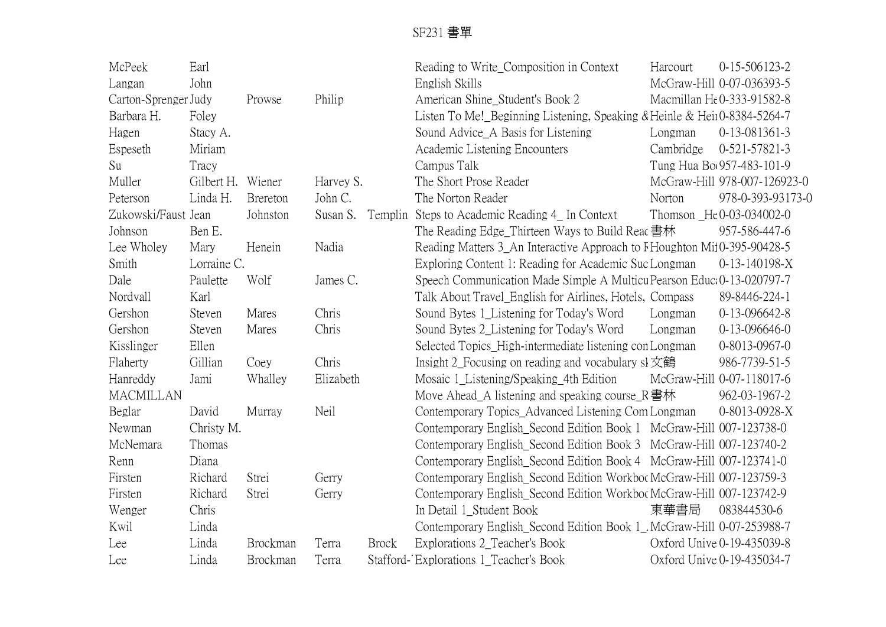| McPeek               | Earl              |          |           |              | Reading to Write_Composition in Context                                  | Harcourt  | $0-15-506123-2$              |
|----------------------|-------------------|----------|-----------|--------------|--------------------------------------------------------------------------|-----------|------------------------------|
| Langan               | John              |          |           |              | English Skills                                                           |           | McGraw-Hill 0-07-036393-5    |
| Carton-Sprenger Judy |                   | Prowse   | Philip    |              | American Shine_Student's Book 2                                          |           | Macmillan He0-333-91582-8    |
| Barbara H.           | Foley             |          |           |              | Listen To Me!_Beginning Listening, Speaking & Heinle & Hein0-8384-5264-7 |           |                              |
| Hagen                | Stacy A.          |          |           |              | Sound Advice_A Basis for Listening                                       | Longman   | 0-13-081361-3                |
| Espeseth             | Miriam            |          |           |              | Academic Listening Encounters                                            | Cambridge | 0-521-57821-3                |
| Su                   | Tracy             |          |           |              | Campus Talk                                                              |           | Tung Hua Bo(957-483-101-9    |
| Muller               | Gilbert H. Wiener |          | Harvey S. |              | The Short Prose Reader                                                   |           | McGraw-Hill 978-007-126923-0 |
| Peterson             | Linda H.          | Brereton | John C.   |              | The Norton Reader                                                        | Norton    | 978-0-393-93173-0            |
| Zukowski/Faust Jean  |                   | Johnston | Susan S.  | Templin      | Steps to Academic Reading 4_ In Context                                  |           | Thomson _He 0-03-034002-0    |
| Johnson              | Ben E.            |          |           |              | The Reading Edge_Thirteen Ways to Build Reac 書林                          |           | 957-586-447-6                |
| Lee Wholey           | Mary              | Henein   | Nadia     |              | Reading Matters 3_An Interactive Approach to FHoughton Mi10-395-90428-5  |           |                              |
| Smith                | Lorraine C.       |          |           |              | Exploring Content 1: Reading for Academic Suc Longman                    |           | 0-13-140198-X                |
| Dale                 | Paulette          | Wolf     | James C.  |              | Speech Communication Made Simple A Multicu Pearson Educ: 0-13-020797-7   |           |                              |
| Nordvall             | Karl              |          |           |              | Talk About Travel_English for Airlines, Hotels, Compass                  |           | 89-8446-224-1                |
| Gershon              | Steven            | Mares    | Chris     |              | Sound Bytes 1_Listening for Today's Word                                 | Longman   | 0-13-096642-8                |
| Gershon              | Steven            | Mares    | Chris     |              | Sound Bytes 2_Listening for Today's Word                                 | Longman   | $0-13-096646-0$              |
| Kisslinger           | Ellen             |          |           |              | Selected Topics_High-intermediate listening con Longman                  |           | 0-8013-0967-0                |
| Flaherty             | Gillian           | Coey     | Chris     |              | Insight 2_Focusing on reading and vocabulary $s\bar{t}$                  |           | 986-7739-51-5                |
| Hanreddy             | Jami              | Whalley  | Elizabeth |              | Mosaic 1_Listening/Speaking_4th Edition                                  |           | McGraw-Hill 0-07-118017-6    |
| <b>MACMILLAN</b>     |                   |          |           |              | Move Ahead A listening and speaking course $\mathbb{R}$ 書林               |           | 962-03-1967-2                |
| Beglar               | David             | Murray   | Neil      |              | Contemporary Topics_Advanced Listening Com Longman                       |           | 0-8013-0928-X                |
| Newman               | Christy M.        |          |           |              | Contemporary English_Second Edition Book 1 McGraw-Hill 007-123738-0      |           |                              |
| McNemara             | Thomas            |          |           |              | Contemporary English_Second Edition Book 3 McGraw-Hill 007-123740-2      |           |                              |
| Renn                 | Diana             |          |           |              | Contemporary English_Second Edition Book 4 McGraw-Hill 007-123741-0      |           |                              |
| Firsten              | Richard           | Strei    | Gerry     |              | Contemporary English_Second Edition Workboc McGraw-Hill 007-123759-3     |           |                              |
| Firsten              | Richard           | Strei    | Gerry     |              | Contemporary English_Second Edition Workboc McGraw-Hill 007-123742-9     |           |                              |
| Wenger               | Chris             |          |           |              | In Detail 1_Student Book                                                 | 東華書局      | 083844530-6                  |
| Kwil                 | Linda             |          |           |              | Contemporary English_Second Edition Book 1_McGraw-Hill 0-07-253988-7     |           |                              |
| Lee                  | Linda             | Brockman | Terra     | <b>Brock</b> | Explorations 2_Teacher's Book                                            |           | Oxford Unive 0-19-435039-8   |
| Lee                  | Linda             | Brockman | Terra     |              | Stafford-'Explorations 1_Teacher's Book                                  |           | Oxford Unive 0-19-435034-7   |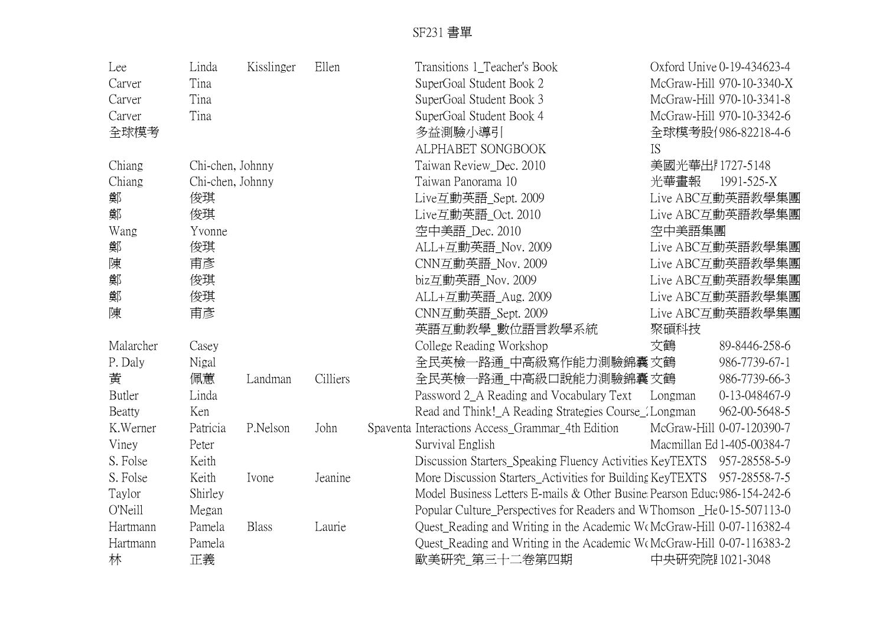| Lee           | Linda            | Kisslinger   | Ellen    | Transitions 1_Teacher's Book                                              |                 | Oxford Unive 0-19-434623-4 |
|---------------|------------------|--------------|----------|---------------------------------------------------------------------------|-----------------|----------------------------|
| Carver        | Tina             |              |          | SuperGoal Student Book 2                                                  |                 | McGraw-Hill 970-10-3340-X  |
| Carver        | Tina             |              |          | SuperGoal Student Book 3                                                  |                 | McGraw-Hill 970-10-3341-8  |
| Carver        | Tina             |              |          | SuperGoal Student Book 4                                                  |                 | McGraw-Hill 970-10-3342-6  |
| 全球模考          |                  |              |          | 多益測驗小導引                                                                   |                 | 全球模考股1986-82218-4-6        |
|               |                  |              |          | ALPHABET SONGBOOK                                                         | IS              |                            |
| Chiang        | Chi-chen, Johnny |              |          | Taiwan Review_Dec. 2010                                                   | 美國光華出紅1727-5148 |                            |
| Chiang        | Chi-chen, Johnny |              |          | Taiwan Panorama 10                                                        | 光華畫報            | 1991-525-X                 |
| 鄭             | 俊琪               |              |          | Live互動英語_Sept. 2009                                                       |                 | Live ABC互動英語教學集團           |
| 鄭             | 俊琪               |              |          | Live互動英語_Oct. 2010                                                        |                 | Live ABC互動英語教學集團           |
| Wang          | Yvonne           |              |          | 空中美語 Dec. 2010                                                            | 空中美語集團          |                            |
| 鄭             | 俊琪               |              |          | ALL+互動英語_Nov. 2009                                                        |                 | Live ABC互動英語教學集團           |
| 陳             | 甫彥               |              |          | CNN互動英語 Nov. 2009                                                         |                 | Live ABC互動英語教學集團           |
| 鄭             | 俊琪               |              |          | biz互動英語 Nov. 2009                                                         |                 | Live ABC互動英語教學集團           |
| 鄭             | 俊琪               |              |          | ALL+互動英語_Aug. 2009                                                        |                 | Live ABC互動英語教學集團           |
| 陳             | 甫彥               |              |          | CNN互動英語 Sept. 2009                                                        |                 | Live ABC互動英語教學集團           |
|               |                  |              |          | 英語互動教學_數位語言教學系統                                                           | 聚碩科技            |                            |
| Malarcher     | Casey            |              |          | College Reading Workshop                                                  | 文鶴              | 89-8446-258-6              |
| P. Daly       | Nigal            |              |          | 全民英檢一路通_中高級寫作能力測驗錦囊 文鶴                                                    |                 | 986-7739-67-1              |
| 黃             | 佩蕙               | Landman      | Cilliers | 全民英檢一路通_中高級口說能力測驗錦囊 文鶴                                                    |                 | 986-7739-66-3              |
| <b>Butler</b> | Linda            |              |          | Password 2_A Reading and Vocabulary Text                                  | Longman         | 0-13-048467-9              |
| Beatty        | Ken              |              |          | Read and Think! A Reading Strategies Course / Longman                     |                 | 962-00-5648-5              |
| K.Werner      | Patricia         | P.Nelson     | John     | Spaventa Interactions Access_Grammar_4th Edition                          |                 | McGraw-Hill 0-07-120390-7  |
| Viney         | Peter            |              |          | Survival English                                                          |                 | Macmillan Ed 1-405-00384-7 |
| S. Folse      | Keith            |              |          | Discussion Starters_Speaking Fluency Activities KeyTEXTS 957-28558-5-9    |                 |                            |
| S. Folse      | Keith            | Ivone        | Jeanine  | More Discussion Starters_Activities for Building KeyTEXTS 957-28558-7-5   |                 |                            |
| Taylor        | Shirley          |              |          | Model Business Letters E-mails & Other Busine Pearson Educ: 986-154-242-6 |                 |                            |
| O'Neill       | Megan            |              |          | Popular Culture_Perspectives for Readers and WThomson _He0-15-507113-0    |                 |                            |
| Hartmann      | Pamela           | <b>Blass</b> | Laurie   | Quest_Reading and Writing in the Academic WoMcGraw-Hill 0-07-116382-4     |                 |                            |
| Hartmann      | Pamela           |              |          | Quest_Reading and Writing in the Academic WeMcGraw-Hill 0-07-116383-2     |                 |                            |
| 林             | 正義               |              |          | 歐美研究_第三十二卷第四期                                                             | 中央研究院Ⅰ1021-3048 |                            |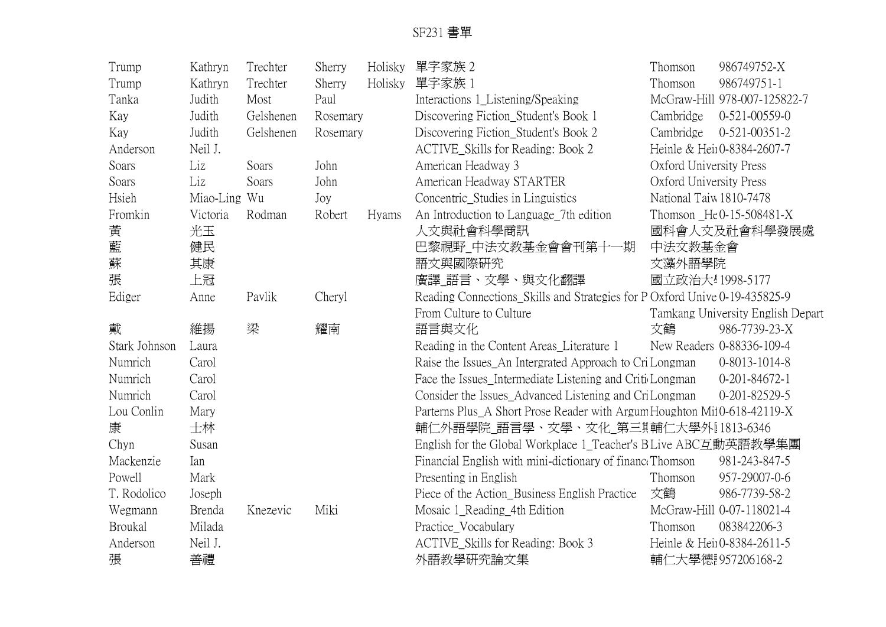| Trump         | Kathryn      | Trechter  | Sherry   | Holisky | 單字家族 2                                                                     | Thomson                 | 986749752-X                       |
|---------------|--------------|-----------|----------|---------|----------------------------------------------------------------------------|-------------------------|-----------------------------------|
| Trump         | Kathryn      | Trechter  | Sherry   | Holisky | 單字家族 1                                                                     | Thomson                 | 986749751-1                       |
| Tanka         | Judith       | Most      | Paul     |         | Interactions 1_Listening/Speaking                                          |                         | McGraw-Hill 978-007-125822-7      |
| Kay           | Judith       | Gelshenen | Rosemary |         | Discovering Fiction_Student's Book 1                                       | Cambridge               | $0-521-00559-0$                   |
| Kay           | Judith       | Gelshenen | Rosemary |         | Discovering Fiction_Student's Book 2                                       | Cambridge               | $0-521-00351-2$                   |
| Anderson      | Neil J.      |           |          |         | ACTIVE_Skills for Reading: Book 2                                          |                         | Heinle & Heir0-8384-2607-7        |
| Soars         | Liz          | Soars     | John     |         | American Headway 3                                                         | Oxford University Press |                                   |
| Soars         | Liz          | Soars     | John     |         | American Headway STARTER                                                   | Oxford University Press |                                   |
| Hsieh         | Miao-Ling Wu |           | Joy      |         | Concentric_Studies in Linguistics                                          | National Taiw 1810-7478 |                                   |
| Fromkin       | Victoria     | Rodman    | Robert   | Hyams   | An Introduction to Language_7th edition                                    |                         | Thomson He0-15-508481-X           |
| 黃             | 光玉           |           |          |         | 人文與社會科學商訊                                                                  |                         | 國科會人文及社會科學發展處                     |
| 藍             | 健民           |           |          |         | 巴黎視野_中法文教基金會會刊第十一期                                                         | 中法文教基金會                 |                                   |
| 蘇             | 其康           |           |          |         | 語文與國際研究                                                                    | 文藻外語學院                  |                                   |
| 張             | 上冠           |           |          |         | 廣譯_語言、文學、與文化翻譯                                                             | 國立政治大 1998-5177         |                                   |
| Ediger        | Anne         | Pavlik    | Cheryl   |         | Reading Connections_Skills and Strategies for P Oxford Unive 0-19-435825-9 |                         |                                   |
|               |              |           |          |         | From Culture to Culture                                                    |                         | Tamkang University English Depart |
| 戴             | 維揚           | 梁         | 耀南       |         | 語言與文化                                                                      | 文鶴                      | 986-7739-23-X                     |
| Stark Johnson | Laura        |           |          |         | Reading in the Content Areas_Literature 1                                  |                         | New Readers 0-88336-109-4         |
| Numrich       | Carol        |           |          |         | Raise the Issues_An Intergrated Approach to Cri Longman                    |                         | 0-8013-1014-8                     |
| Numrich       | Carol        |           |          |         | Face the Issues_Intermediate Listening and Critic Longman                  |                         | $0-201-84672-1$                   |
| Numrich       | Carol        |           |          |         | Consider the Issues_Advanced Listening and CriLongman                      |                         | 0-201-82529-5                     |
| Lou Conlin    | Mary         |           |          |         | Parterns Plus_A Short Prose Reader with Argum Houghton Mit0-618-42119-X    |                         |                                   |
| 康             | 士林           |           |          |         | 輔仁外語學院_語言學、文學、文化_第三期輔仁大學外[1813-6346                                        |                         |                                   |
| Chyn          | Susan        |           |          |         | English for the Global Workplace 1_Teacher's BLive ABC互動英語教學集團             |                         |                                   |
| Mackenzie     | Ian          |           |          |         | Financial English with mini-dictionary of finance Thomson                  |                         | 981-243-847-5                     |
| Powell        | Mark         |           |          |         | Presenting in English                                                      | Thomson                 | 957-29007-0-6                     |
| T. Rodolico   | Joseph       |           |          |         | Piece of the Action_Business English Practice                              | 文鶴                      | 986-7739-58-2                     |
| Wegmann       | Brenda       | Knezevic  | Miki     |         | Mosaic 1_Reading_4th Edition                                               |                         | McGraw-Hill 0-07-118021-4         |
| Broukal       | Milada       |           |          |         | Practice_Vocabulary                                                        | Thomson                 | 083842206-3                       |
| Anderson      | Neil J.      |           |          |         | ACTIVE_Skills for Reading: Book 3                                          |                         | Heinle & Heir0-8384-2611-5        |
| 張             | 善禮           |           |          |         | 外語教學研究論文集                                                                  |                         | 輔仁大學德 957206168-2                 |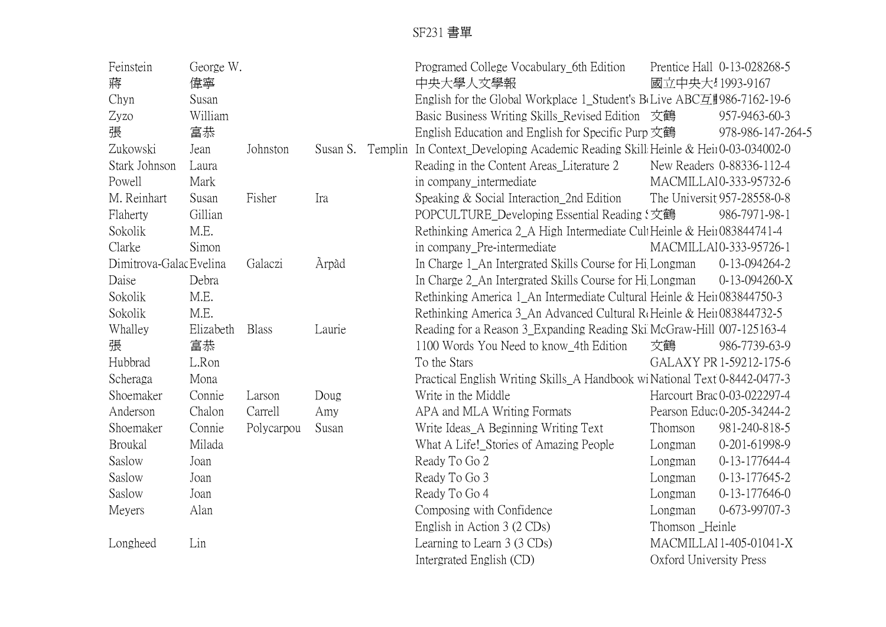| Feinstein               | George W. |              |          |         | Programed College Vocabulary_6th Edition                                          |                         | Prentice Hall 0-13-028268-5 |
|-------------------------|-----------|--------------|----------|---------|-----------------------------------------------------------------------------------|-------------------------|-----------------------------|
| 蔣                       | 偉寧        |              |          |         | 中央大學人文學報                                                                          | 國立中央大!1993-9167         |                             |
| Chyn                    | Susan     |              |          |         | English for the Global Workplace 1_Student's B(Live ABC互重986-7162-19-6            |                         |                             |
| Zyzo                    | William   |              |          |         | Basic Business Writing Skills_Revised Edition 文鶴                                  |                         | 957-9463-60-3               |
| 張                       | 富恭        |              |          |         | English Education and English for Specific Purp 文鶴                                |                         | 978-986-147-264-5           |
| Zukowski                | Jean      | Johnston     | Susan S. | Templin | In Context_Developing Academic Reading Skill: Heinle & Hein0-03-034002-0          |                         |                             |
| Stark Johnson           | Laura     |              |          |         | Reading in the Content Areas_Literature 2                                         |                         | New Readers 0-88336-112-4   |
| Powell                  | Mark      |              |          |         | in company_intermediate                                                           |                         | MACMILLA10-333-95732-6      |
| M. Reinhart             | Susan     | Fisher       | Ira      |         | Speaking & Social Interaction 2nd Edition                                         |                         | The Universit 957-28558-0-8 |
| Flaherty                | Gillian   |              |          |         | POPCULTURE_Developing Essential Reading 【文鶴                                       |                         | 986-7971-98-1               |
| Sokolik                 | M.E.      |              |          |         | Rethinking America 2_A High Intermediate CultHeinle & Heir083844741-4             |                         |                             |
| Clarke                  | Simon     |              |          |         | in company_Pre-intermediate                                                       |                         | MACMILLAI0-333-95726-1      |
| Dimitrova-Galac Evelina |           | Galaczi      | Àrpàd    |         | In Charge 1_An Intergrated Skills Course for Hi <sub>l</sub> Longman              |                         | 0-13-094264-2               |
| Daise                   | Debra     |              |          |         | In Charge 2_An Intergrated Skills Course for Hi <sub>l</sub> Longman              |                         | $0-13-094260-X$             |
| Sokolik                 | M.E.      |              |          |         | Rethinking America 1_An Intermediate Cultural Heinle & Heii083844750-3            |                         |                             |
| Sokolik                 | M.E.      |              |          |         | Rethinking America 3_An Advanced Cultural R <sub>f</sub> Heinle & Heii083844732-5 |                         |                             |
| Whalley                 | Elizabeth | <b>Blass</b> | Laurie   |         | Reading for a Reason 3_Expanding Reading Ski McGraw-Hill 007-125163-4             |                         |                             |
| 張                       | 富恭        |              |          |         | 1100 Words You Need to know_4th Edition                                           | 文鶴                      | 986-7739-63-9               |
| Hubbrad                 | L.Ron     |              |          |         | To the Stars                                                                      |                         | GALAXY PR 1-59212-175-6     |
| Scheraga                | Mona      |              |          |         | Practical English Writing Skills_A Handbook wiNational Text 0-8442-0477-3         |                         |                             |
| Shoemaker               | Connie    | Larson       | Doug     |         | Write in the Middle                                                               |                         | Harcourt Brac 0-03-022297-4 |
| Anderson                | Chalon    | Carrell      | Amy      |         | APA and MLA Writing Formats                                                       |                         | Pearson Educ: 0-205-34244-2 |
| Shoemaker               | Connie    | Polycarpou   | Susan    |         | Write Ideas_A Beginning Writing Text                                              | Thomson                 | 981-240-818-5               |
| <b>Broukal</b>          | Milada    |              |          |         | What A Life!_Stories of Amazing People                                            | Longman                 | 0-201-61998-9               |
| Saslow                  | Joan      |              |          |         | Ready To Go 2                                                                     | Longman                 | 0-13-177644-4               |
| Saslow                  | Joan      |              |          |         | Ready To Go 3                                                                     | Longman                 | 0-13-177645-2               |
| Saslow                  | Joan      |              |          |         | Ready To Go 4                                                                     | Longman                 | $0-13-177646-0$             |
| Meyers                  | Alan      |              |          |         | Composing with Confidence                                                         | Longman                 | 0-673-99707-3               |
|                         |           |              |          |         | English in Action 3 (2 CDs)                                                       | Thomson Heinle          |                             |
| Longheed                | Lin       |              |          |         | Learning to Learn 3 (3 CDs)                                                       |                         | MACMILLAI 1-405-01041-X     |
|                         |           |              |          |         | Intergrated English (CD)                                                          | Oxford University Press |                             |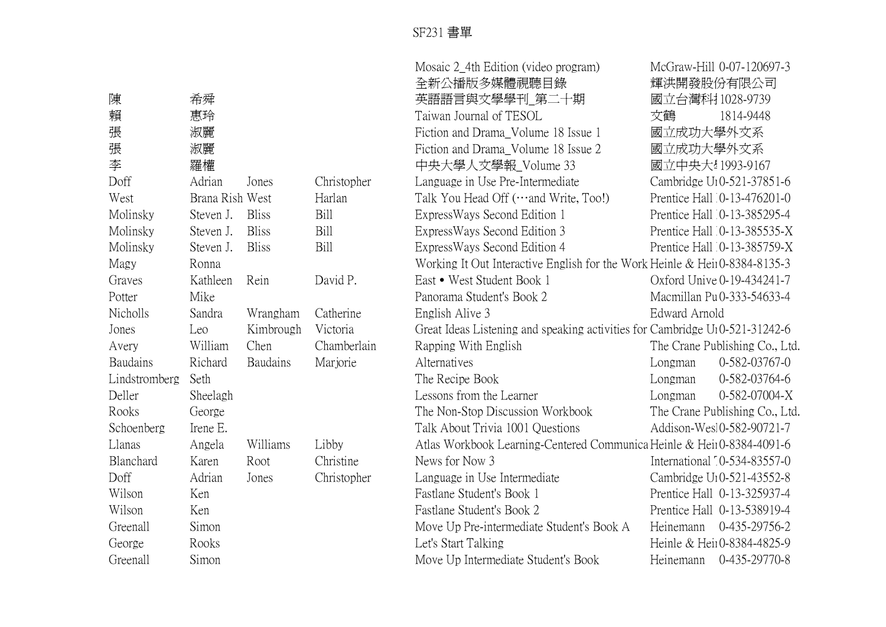|               |                 |              |             | Mosaic 2_4th Edition (video program)                                        |                 | McGraw-Hill 0-07-120697-3              |
|---------------|-----------------|--------------|-------------|-----------------------------------------------------------------------------|-----------------|----------------------------------------|
|               |                 |              |             | 全新公播版多媒體視聽目錄                                                                |                 | 輝洪開發股份有限公司                             |
| 陳             | 希舜              |              |             | 英語語言與文學學刊_第二十期                                                              | 國立台灣科打028-9739  |                                        |
| 賴             | 惠玲              |              |             | Taiwan Journal of TESOL                                                     | 文鶴              | 1814-9448                              |
| 張             | 淑麗              |              |             | Fiction and Drama_Volume 18 Issue 1                                         | 國立成功大學外文系       |                                        |
| 張             | 淑麗              |              |             | Fiction and Drama Volume 18 Issue 2                                         | 國立成功大學外文系       |                                        |
| 李             | 羅權              |              |             | 中央大學人文學報_Volume 33                                                          | 國立中央大!1993-9167 |                                        |
| Doff          | Adrian          | Jones        | Christopher | Language in Use Pre-Intermediate                                            |                 | Cambridge U <sub>1</sub> 0-521-37851-6 |
| West          | Brana Rish West |              | Harlan      | Talk You Head Off (and Write, Too!)                                         |                 | Prentice Hall 0-13-476201-0            |
| Molinsky      | Steven J.       | <b>Bliss</b> | Bill        | ExpressWays Second Edition 1                                                |                 | Prentice Hall 0-13-385295-4            |
| Molinsky      | Steven J.       | <b>Bliss</b> | Bill        | ExpressWays Second Edition 3                                                |                 | Prentice Hall 0-13-385535-X            |
| Molinsky      | Steven J.       | <b>Bliss</b> | Bill        | ExpressWays Second Edition 4                                                |                 | Prentice Hall 0-13-385759-X            |
| Magy          | Ronna           |              |             | Working It Out Interactive English for the Work Heinle & Heir0-8384-8135-3  |                 |                                        |
| Graves        | Kathleen        | Rein         | David P.    | East • West Student Book 1                                                  |                 | Oxford Unive 0-19-434241-7             |
| Potter        | Mike            |              |             | Panorama Student's Book 2                                                   |                 | Macmillan Pu 0-333-54633-4             |
| Nicholls      | Sandra          | Wrangham     | Catherine   | English Alive 3                                                             | Edward Arnold   |                                        |
| Jones         | Leo             | Kimbrough    | Victoria    | Great Ideas Listening and speaking activities for Cambridge U10-521-31242-6 |                 |                                        |
| Avery         | William         | Chen         | Chamberlain | Rapping With English                                                        |                 | The Crane Publishing Co., Ltd.         |
| Baudains      | Richard         | Baudains     | Marjorie    | Alternatives                                                                | Longman         | 0-582-03767-0                          |
| Lindstromberg | Seth            |              |             | The Recipe Book                                                             | Longman         | 0-582-03764-6                          |
| Deller        | Sheelagh        |              |             | Lessons from the Learner                                                    | Longman         | 0-582-07004-X                          |
| Rooks         | George          |              |             | The Non-Stop Discussion Workbook                                            |                 | The Crane Publishing Co., Ltd.         |
| Schoenberg    | Irene E.        |              |             | Talk About Trivia 1001 Questions                                            |                 | Addison-Wes10-582-90721-7              |
| Llanas        | Angela          | Williams     | Libby       | Atlas Workbook Learning-Centered Communica Heinle & Heir0-8384-4091-6       |                 |                                        |
| Blanchard     | Karen           | Root         | Christine   | News for Now 3                                                              |                 | International 10-534-83557-0           |
| Doff          | Adrian          | Jones        | Christopher | Language in Use Intermediate                                                |                 | Cambridge U <sub>1</sub> 0-521-43552-8 |
| Wilson        | Ken             |              |             | Fastlane Student's Book 1                                                   |                 | Prentice Hall 0-13-325937-4            |
| Wilson        | Ken             |              |             | Fastlane Student's Book 2                                                   |                 | Prentice Hall 0-13-538919-4            |
| Greenall      | Simon           |              |             | Move Up Pre-intermediate Student's Book A                                   | Heinemann       | 0-435-29756-2                          |
| George        | Rooks           |              |             | Let's Start Talking                                                         |                 | Heinle & Hein0-8384-4825-9             |
| Greenall      | Simon           |              |             | Move Up Intermediate Student's Book                                         | Heinemann       | 0-435-29770-8                          |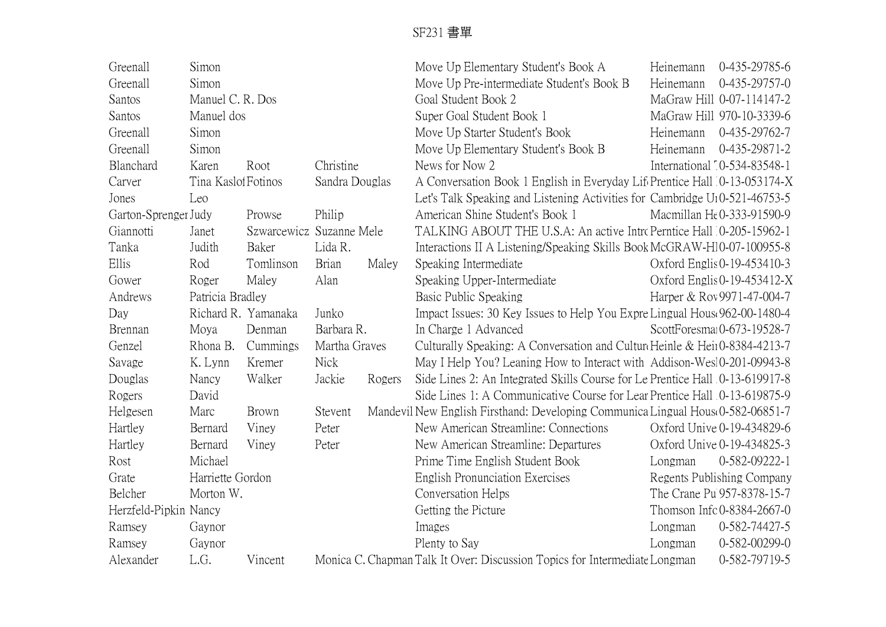| Greenall              | Simon               |                          |                |        | Move Up Elementary Student's Book A                                              | Heinemann | 0-435-29785-6                 |
|-----------------------|---------------------|--------------------------|----------------|--------|----------------------------------------------------------------------------------|-----------|-------------------------------|
| Greenall              | Simon               |                          |                |        | Move Up Pre-intermediate Student's Book B                                        | Heinemann | 0-435-29757-0                 |
| Santos                | Manuel C. R. Dos    |                          |                |        | Goal Student Book 2                                                              |           | MaGraw Hill 0-07-114147-2     |
| Santos                | Manuel dos          |                          |                |        | Super Goal Student Book 1                                                        |           | MaGraw Hill 970-10-3339-6     |
| Greenall              | Simon               |                          |                |        | Move Up Starter Student's Book                                                   | Heinemann | 0-435-29762-7                 |
| Greenall              | Simon               |                          |                |        | Move Up Elementary Student's Book B                                              | Heinemann | 0-435-29871-2                 |
| Blanchard             | Karen               | Root                     | Christine      |        | News for Now 2                                                                   |           | International 10-534-83548-1  |
| Carver                | Tina Kasloi Fotinos |                          | Sandra Douglas |        | A Conversation Book 1 English in Everyday Life Prentice Hall 0-13-053174-X       |           |                               |
| Jones                 | Leo                 |                          |                |        | Let's Talk Speaking and Listening Activities for Cambridge U10-521-46753-5       |           |                               |
| Garton-Sprenger Judy  |                     | Prowse                   | Philip         |        | American Shine Student's Book 1                                                  |           | Macmillan He0-333-91590-9     |
| Giannotti             | Janet               | Szwarcewicz Suzanne Mele |                |        | TALKING ABOUT THE U.S.A: An active Intro Perntice Hall 0-205-15962-1             |           |                               |
| Tanka                 | Judith              | Baker                    | Lida R.        |        | Interactions II A Listening/Speaking Skills Book McGRAW-H10-07-100955-8          |           |                               |
| Ellis                 | Rod                 | Tomlinson                | Brian          | Maley  | Speaking Intermediate                                                            |           | Oxford Englis 0-19-453410-3   |
| Gower                 | Roger               | Maley                    | Alan           |        | Speaking Upper-Intermediate                                                      |           | Oxford Englis $0-19-453412-X$ |
| Andrews               | Patricia Bradley    |                          |                |        | Basic Public Speaking                                                            |           | Harper & Rov 9971-47-004-7    |
| Day                   |                     | Richard R. Yamanaka      | Junko          |        | Impact Issues: 30 Key Issues to Help You Expre Lingual House 962-00-1480-4       |           |                               |
| Brennan               | Moya                | Denman                   | Barbara R.     |        | In Charge 1 Advanced                                                             |           | ScottForesmai0-673-19528-7    |
| Genzel                | Rhona B.            | Cummings                 | Martha Graves  |        | Culturally Speaking: A Conversation and Cultur Heinle & Heir0-8384-4213-7        |           |                               |
| Savage                | K. Lynn             | Kremer                   | <b>Nick</b>    |        | May I Help You? Leaning How to Interact with Addison-Wesl0-201-09943-8           |           |                               |
| Douglas               | Nancy               | Walker                   | Jackie         | Rogers | Side Lines 2: An Integrated Skills Course for Le Prentice Hall 0-13-619917-8     |           |                               |
| Rogers                | David               |                          |                |        | Side Lines 1: A Communicative Course for Lear Prentice Hall 0-13-619875-9        |           |                               |
| Helgesen              | Marc                | Brown                    | Stevent        |        | Mandevil New English Firsthand: Developing Communica Lingual House 0-582-06851-7 |           |                               |
| Hartley               | Bernard             | Viney                    | Peter          |        | New American Streamline: Connections                                             |           | Oxford Unive 0-19-434829-6    |
| Hartley               | Bernard             | Viney                    | Peter          |        | New American Streamline: Departures                                              |           | Oxford Unive 0-19-434825-3    |
| Rost                  | Michael             |                          |                |        | Prime Time English Student Book                                                  | Longman   | 0-582-09222-1                 |
| Grate                 | Harriette Gordon    |                          |                |        | <b>English Pronunciation Exercises</b>                                           |           | Regents Publishing Company    |
| Belcher               | Morton W.           |                          |                |        | Conversation Helps                                                               |           | The Crane Pu 957-8378-15-7    |
| Herzfeld-Pipkin Nancy |                     |                          |                |        | Getting the Picture                                                              |           | Thomson Infc 0-8384-2667-0    |
| Ramsey                | Gaynor              |                          |                |        | Images                                                                           | Longman   | 0-582-74427-5                 |
| Ramsey                | Gaynor              |                          |                |        | Plenty to Say                                                                    | Longman   | 0-582-00299-0                 |
| Alexander             | L.G.                | Vincent                  |                |        | Monica C. Chapman Talk It Over: Discussion Topics for Intermediate Longman       |           | 0-582-79719-5                 |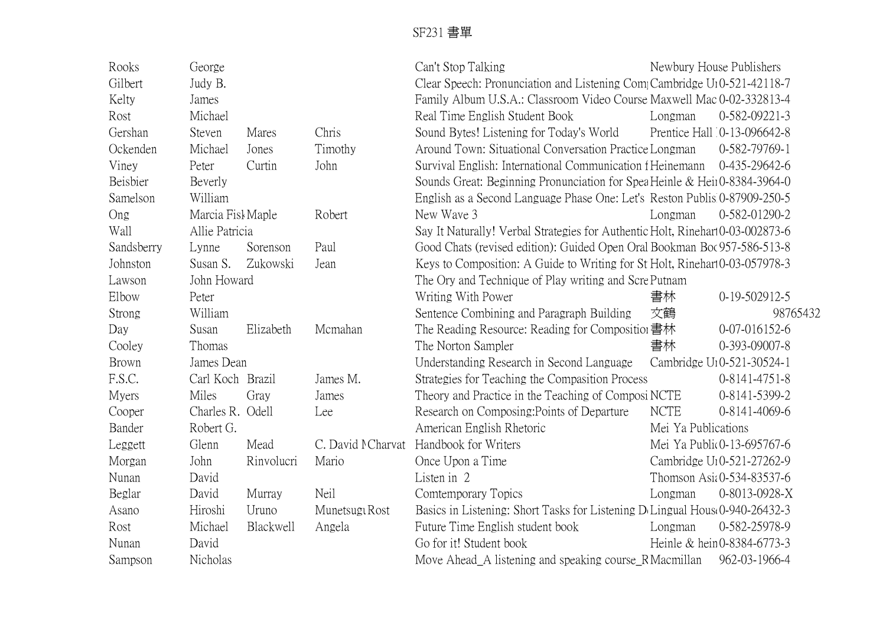| Rooks        | George            |            |                   | Can't Stop Talking                                                            |                     | Newbury House Publishers               |
|--------------|-------------------|------------|-------------------|-------------------------------------------------------------------------------|---------------------|----------------------------------------|
| Gilbert      | Judy B.           |            |                   | Clear Speech: Pronunciation and Listening CompCambridge U10-521-42118-7       |                     |                                        |
| Kelty        | James             |            |                   | Family Album U.S.A.: Classroom Video Course Maxwell Mac 0-02-332813-4         |                     |                                        |
| Rost         | Michael           |            |                   | Real Time English Student Book                                                | Longman             | 0-582-09221-3                          |
| Gershan      | Steven            | Mares      | Chris             | Sound Bytes! Listening for Today's World                                      |                     | Prentice Hall 0-13-096642-8            |
| Ockenden     | Michael           | Jones      | Timothy           | Around Town: Situational Conversation Practice Longman                        |                     | 0-582-79769-1                          |
| Viney        | Peter             | Curtin     | John              | Survival English: International Communication f Heinemann                     |                     | 0-435-29642-6                          |
| Beisbier     | Beverly           |            |                   | Sounds Great: Beginning Pronunciation for Spea Heinle & Heir0-8384-3964-0     |                     |                                        |
| Samelson     | William           |            |                   | English as a Second Language Phase One: Let's Reston Publis 0-87909-250-5     |                     |                                        |
| Ong          | Marcia Fisk Maple |            | Robert            | New Wave 3                                                                    | Longman             | 0-582-01290-2                          |
| Wall         | Allie Patricia    |            |                   | Say It Naturally! Verbal Strategies for Authentic Holt, Rinehart0-03-002873-6 |                     |                                        |
| Sandsberry   | Lynne             | Sorenson   | Paul              | Good Chats (revised edition): Guided Open Oral Bookman Boc 957-586-513-8      |                     |                                        |
| Johnston     | Susan S.          | Zukowski   | Jean              | Keys to Composition: A Guide to Writing for St Holt, Rinehart 0-03-057978-3   |                     |                                        |
| Lawson       | John Howard       |            |                   | The Ory and Technique of Play writing and ScrePutnam                          |                     |                                        |
| Elbow        | Peter             |            |                   | Writing With Power                                                            | 書林                  | $0-19-502912-5$                        |
| Strong       | William           |            |                   | Sentence Combining and Paragraph Building                                     | 文鶴                  | 98765432                               |
| Day          | Susan             | Elizabeth  | Mcmahan           | The Reading Resource: Reading for Composition 書林                              |                     | 0-07-016152-6                          |
| Cooley       | Thomas            |            |                   | The Norton Sampler                                                            | 書林                  | 0-393-09007-8                          |
| Brown        | James Dean        |            |                   | Understanding Research in Second Language                                     |                     | Cambridge U <sub>1</sub> 0-521-30524-1 |
| F.S.C.       | Carl Koch Brazil  |            | James M.          | Strategies for Teaching the Compasition Process                               |                     | $0-8141-4751-8$                        |
| <b>Myers</b> | Miles             | Gray       | James             | Theory and Practice in the Teaching of Composi NCTE                           |                     | 0-8141-5399-2                          |
| Cooper       | Charles R. Odell  |            | Lee               | Research on Composing: Points of Departure                                    | <b>NCTE</b>         | 0-8141-4069-6                          |
| Bander       | Robert G.         |            |                   | American English Rhetoric                                                     | Mei Ya Publications |                                        |
| Leggett      | Glenn             | Mead       | C. David MCharvat | Handbook for Writers                                                          |                     | Mei Ya Public 0-13-695767-6            |
| Morgan       | John              | Rinvolucri | Mario             | Once Upon a Time                                                              |                     | Cambridge U <sub>1</sub> 0-521-27262-9 |
| Nunan        | David             |            |                   | Listen in 2                                                                   |                     | Thomson Asia 0-534-83537-6             |
| Beglar       | David             | Murray     | Neil              | Comtemporary Topics                                                           | Longman             | 0-8013-0928-X                          |
| Asano        | Hiroshi           | Uruno      | Munetsugt Rost    | Basics in Listening: Short Tasks for Listening D Lingual House 0-940-26432-3  |                     |                                        |
| Rost         | Michael           | Blackwell  | Angela            | Future Time English student book                                              | Longman             | 0-582-25978-9                          |
| Nunan        | David             |            |                   | Go for it! Student book                                                       |                     | Heinle & hein0-8384-6773-3             |
| Sampson      | Nicholas          |            |                   | Move Ahead_A listening and speaking course_RMacmillan                         |                     | 962-03-1966-4                          |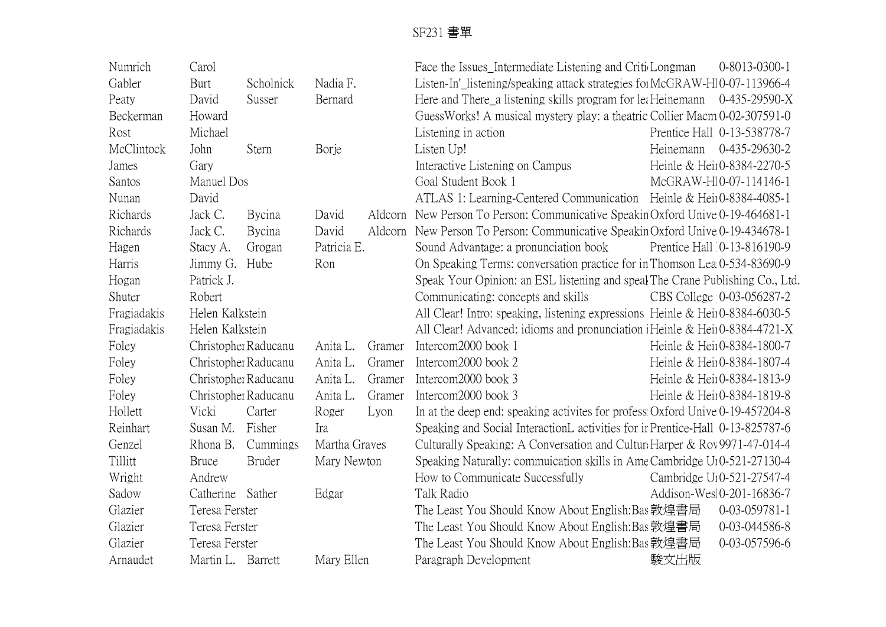| Numrich     | Carol             |                      |               |         | Face the Issues_Intermediate Listening and CriticLongman                       |           | $0 - 8013 - 0300 - 1$                  |
|-------------|-------------------|----------------------|---------------|---------|--------------------------------------------------------------------------------|-----------|----------------------------------------|
| Gabler      | Burt              | Scholnick            | Nadia F.      |         | Listen-In'_listening/speaking attack strategies for McGRAW-H10-07-113966-4     |           |                                        |
| Peaty       | David             | Susser               | Bernard       |         | Here and There a listening skills program for lea Heinemann                    |           | $0-435-29590-X$                        |
| Beckerman   | Howard            |                      |               |         | GuessWorks! A musical mystery play: a theatric Collier Macm 0-02-307591-0      |           |                                        |
| Rost        | Michael           |                      |               |         | Listening in action                                                            |           | Prentice Hall 0-13-538778-7            |
| McClintock  | John              | Stern                | <b>Borje</b>  |         | Listen Up!                                                                     | Heinemann | 0-435-29630-2                          |
| James       | Gary              |                      |               |         | Interactive Listening on Campus                                                |           | Heinle & Heir0-8384-2270-5             |
| Santos      | Manuel Dos        |                      |               |         | Goal Student Book 1                                                            |           | McGRAW-H10-07-114146-1                 |
| Nunan       | David             |                      |               |         | ATLAS 1: Learning-Centered Communication Heinle & Hein0-8384-4085-1            |           |                                        |
| Richards    | Jack C.           | Bycina               | David         | Aldcorn | New Person To Person: Communicative Speakin Oxford Unive 0-19-464681-1         |           |                                        |
| Richards    | Jack C.           | Bycina               | David         | Aldcorn | New Person To Person: Communicative Speakin Oxford Unive 0-19-434678-1         |           |                                        |
| Hagen       | Stacy A.          | Grogan               | Patricia E.   |         | Sound Advantage: a pronunciation book                                          |           | Prentice Hall 0-13-816190-9            |
| Harris      | Jimmy G. Hube     |                      | Ron           |         | On Speaking Terms: conversation practice for in Thomson Lea 0-534-83690-9      |           |                                        |
| Hogan       | Patrick J.        |                      |               |         | Speak Your Opinion: an ESL listening and speak The Crane Publishing Co., Ltd.  |           |                                        |
| Shuter      | Robert            |                      |               |         | Communicating: concepts and skills                                             |           | CBS College 10-03-056287-2             |
| Fragiadakis | Helen Kalkstein   |                      |               |         | All Clear! Intro: speaking, listening expressions Heinle & Heir0-8384-6030-5   |           |                                        |
| Fragiadakis | Helen Kalkstein   |                      |               |         | All Clear! Advanced: idioms and pronunciation iHeinle & Heir0-8384-4721-X      |           |                                        |
| Foley       |                   | Christopher Raducanu | Anita L.      | Gramer  | Intercom2000 book 1                                                            |           | Heinle & Heir0-8384-1800-7             |
| Foley       |                   | Christopher Raducanu | Anita L.      | Gramer  | Intercom2000 book 2                                                            |           | Heinle & Heir0-8384-1807-4             |
| Foley       |                   | Christopher Raducanu | Anita L.      | Gramer  | Intercom2000 book 3                                                            |           | Heinle & Heir0-8384-1813-9             |
| Foley       |                   | Christopher Raducanu | Anita L.      | Gramer  | Intercom2000 book 3                                                            |           | Heinle & Heir0-8384-1819-8             |
| Hollett     | Vicki             | Carter               | Roger         | Lyon    | In at the deep end: speaking activites for profess Oxford Unive 0-19-457204-8  |           |                                        |
| Reinhart    | Susan M.          | Fisher               | Ira           |         | Speaking and Social InteractionL activities for ir Prentice-Hall 0-13-825787-6 |           |                                        |
| Genzel      | Rhona B.          | Cummings             | Martha Graves |         | Culturally Speaking: A Conversation and Cultur Harper & Rov 9971-47-014-4      |           |                                        |
| Tillitt     | <b>Bruce</b>      | <b>Bruder</b>        | Mary Newton   |         | Speaking Naturally: commuication skills in Ame Cambridge U10-521-27130-4       |           |                                        |
| Wright      | Andrew            |                      |               |         | How to Communicate Successfully                                                |           | Cambridge U <sub>1</sub> 0-521-27547-4 |
| Sadow       | Catherine         | Sather               | Edgar         |         | Talk Radio                                                                     |           | Addison-Wesl0-201-16836-7              |
| Glazier     | Teresa Ferster    |                      |               |         | The Least You Should Know About English:Bas 敦煌書局                               |           | 0-03-059781-1                          |
| Glazier     | Teresa Ferster    |                      |               |         | The Least You Should Know About English: Bas 敦煌書局                              |           | 0-03-044586-8                          |
| Glazier     | Teresa Ferster    |                      |               |         | The Least You Should Know About English:Bas 敦煌書局                               |           | 0-03-057596-6                          |
| Arnaudet    | Martin L. Barrett |                      | Mary Ellen    |         | Paragraph Development                                                          | 駿文出版      |                                        |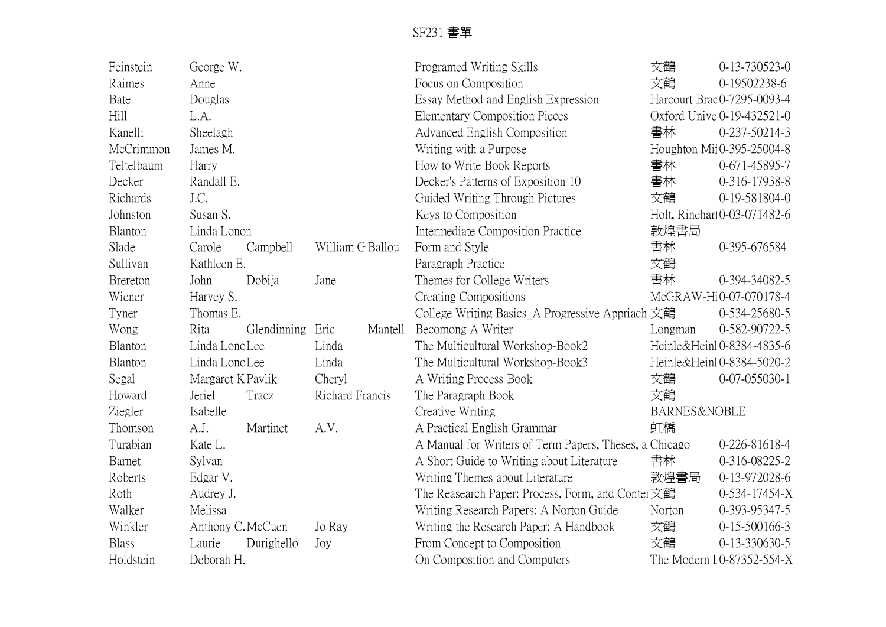| Feinstein       | George W.         |             |                  |         | Programed Writing Skills                               | 文鶴           | $0-13-730523-0$              |
|-----------------|-------------------|-------------|------------------|---------|--------------------------------------------------------|--------------|------------------------------|
| Raimes          | Anne              |             |                  |         | Focus on Composition                                   | 文鶴           | 0-19502238-6                 |
| Bate            | Douglas           |             |                  |         | Essay Method and English Expression                    |              | Harcourt Brac 0-7295-0093-4  |
| Hill            | L.A.              |             |                  |         | <b>Elementary Composition Pieces</b>                   |              | Oxford Unive 0-19-432521-0   |
| Kanelli         | Sheelagh          |             |                  |         | Advanced English Composition                           | 書林           | 0-237-50214-3                |
| McCrimmon       | James M.          |             |                  |         | Writing with a Purpose                                 |              | Houghton Mi10-395-25004-8    |
| Teltelbaum      | Harry             |             |                  |         | How to Write Book Reports                              | 書林           | 0-671-45895-7                |
| Decker          | Randall E.        |             |                  |         | Decker's Patterns of Exposition 10                     | 書林           | 0-316-17938-8                |
| Richards        | J.C.              |             |                  |         | Guided Writing Through Pictures                        | 文鶴           | $0-19-581804-0$              |
| Johnston        | Susan S.          |             |                  |         | Keys to Composition                                    |              | Holt, Rinehart 0-03-071482-6 |
| Blanton         | Linda Lonon       |             |                  |         | Intermediate Composition Practice                      | 敦煌書局         |                              |
| Slade           | Carole            | Campbell    | William G Ballou |         | Form and Style                                         | 書林           | 0-395-676584                 |
| Sullivan        | Kathleen E.       |             |                  |         | Paragraph Practice                                     | 文鶴           |                              |
| <b>Brereton</b> | John              | Dobija      | Jane             |         | Themes for College Writers                             | 書林           | 0-394-34082-5                |
| Wiener          | Harvey S.         |             |                  |         | Creating Compositions                                  |              | McGRAW-Hi0-07-070178-4       |
| Tyner           | Thomas E.         |             |                  |         | College Writing Basics_A Progressive Appriach 文鶴       |              | 0-534-25680-5                |
| Wong            | Rita              | Glendinning | Eric             | Mantell | Becomong A Writer                                      | Longman      | 0-582-90722-5                |
| Blanton         | Linda Lonc Lee    |             | Linda            |         | The Multicultural Workshop-Book2                       |              | Heinle&Heinl0-8384-4835-6    |
| Blanton         | Linda Lono Lee    |             | Linda            |         | The Multicultural Workshop-Book3                       |              | Heinle&Heinl0-8384-5020-2    |
| Segal           | Margaret K Pavlik |             | Cheryl           |         | A Writing Process Book                                 | 文鶴           | $0-07-055030-1$              |
| Howard          | Jeriel            | Tracz       | Richard Francis  |         | The Paragraph Book                                     | 文鶴           |                              |
| Ziegler         | Isabelle          |             |                  |         | Creative Writing                                       | BARNES&NOBLE |                              |
| Thomson         | A.J.              | Martinet    | A.V.             |         | A Practical English Grammar                            | 虹橋           |                              |
| Turabian        | Kate L.           |             |                  |         | A Manual for Writers of Term Papers, Theses, a Chicago |              | 0-226-81618-4                |
| Barnet          | Sylvan            |             |                  |         | A Short Guide to Writing about Literature              | 書林           | 0-316-08225-2                |
| Roberts         | Edgar V.          |             |                  |         | Writing Themes about Literature                        | 敦煌書局         | 0-13-972028-6                |
| Roth            | Audrey J.         |             |                  |         | The Reasearch Paper: Process, Form, and Conter 文鶴      |              | 0-534-17454-X                |
| Walker          | Melissa           |             |                  |         | Writing Research Papers: A Norton Guide                | Norton       | 0-393-95347-5                |
| Winkler         | Anthony C. McCuen |             | Jo Ray           |         | Writing the Research Paper: A Handbook                 | 文鶴           | $0-15-500166-3$              |
| <b>Blass</b>    | Laurie            | Durighello  | Joy              |         | From Concept to Composition                            | 文鶴           | 0-13-330630-5                |
| Holdstein       | Deborah H.        |             |                  |         | On Composition and Computers                           |              | The Modern I 0-87352-554-X   |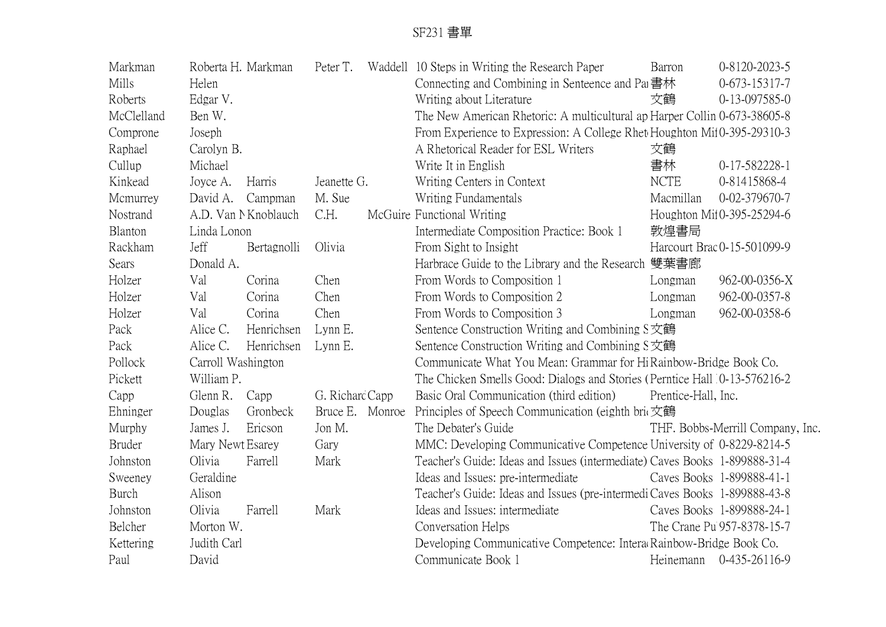| Markman       |                    | Roberta H. Markman  | Peter T.        | Waddell 10 Steps in Writing the Research Paper                              | Barron              | 0-8120-2023-5                    |
|---------------|--------------------|---------------------|-----------------|-----------------------------------------------------------------------------|---------------------|----------------------------------|
| Mills         | Helen              |                     |                 | Connecting and Combining in Senteence and Pa 書林                             |                     | $0-673-15317-7$                  |
| Roberts       | Edgar V.           |                     |                 | Writing about Literature                                                    | 文鶴                  | 0-13-097585-0                    |
| McClelland    | Ben W.             |                     |                 | The New American Rhetoric: A multicultural ap Harper Collin 0-673-38605-8   |                     |                                  |
| Comprone      | Joseph             |                     |                 | From Experience to Expression: A College Rhet Houghton Mil0-395-29310-3     |                     |                                  |
| Raphael       | Carolyn B.         |                     |                 | A Rhetorical Reader for ESL Writers                                         | 文鶴                  |                                  |
| Cullup        | Michael            |                     |                 | Write It in English                                                         | 書林                  | 0-17-582228-1                    |
| Kinkead       | Joyce A.           | Harris              | Jeanette G.     | Writing Centers in Context                                                  | <b>NCTE</b>         | 0-81415868-4                     |
| Mcmurrey      | David A.           | Campman             | M. Sue          | Writing Fundamentals                                                        | Macmillan           | 0-02-379670-7                    |
| Nostrand      |                    | A.D. Van NKnoblauch | C.H.            | McGuire Functional Writing                                                  |                     | Houghton Mil0-395-25294-6        |
| Blanton       | Linda Lonon        |                     |                 | Intermediate Composition Practice: Book 1                                   | 敦煌書局                |                                  |
| Rackham       | Jeff               | Bertagnolli         | Olivia          | From Sight to Insight                                                       |                     | Harcourt Brac 0-15-501099-9      |
| Sears         | Donald A.          |                     |                 | Harbrace Guide to the Library and the Research 雙葉書廊                         |                     |                                  |
| Holzer        | Val                | Corina              | Chen            | From Words to Composition 1                                                 | Longman             | 962-00-0356-X                    |
| Holzer        | Val                | Corina              | Chen            | From Words to Composition 2                                                 | Longman             | 962-00-0357-8                    |
| Holzer        | Val                | Corina              | Chen            | From Words to Composition 3                                                 | Longman             | 962-00-0358-6                    |
| Pack          | Alice C.           | Henrichsen          | Lynn E.         | Sentence Construction Writing and Combining S文鶴                             |                     |                                  |
| Pack          | Alice C.           | Henrichsen          | Lynn E.         | Sentence Construction Writing and Combining S文鶴                             |                     |                                  |
| Pollock       | Carroll Washington |                     |                 | Communicate What You Mean: Grammar for Hi Rainbow-Bridge Book Co.           |                     |                                  |
| Pickett       | William P.         |                     |                 | The Chicken Smells Good: Dialogs and Stories (Perntice Hall 0-13-576216-2)  |                     |                                  |
| Capp          | Glenn R.           | Capp                | G. Richard Capp | Basic Oral Communication (third edition)                                    | Prentice-Hall, Inc. |                                  |
| Ehninger      | Douglas            | Gronbeck            | Bruce E. Monroe | Principles of Speech Communication (eighth brit 文鶴                          |                     |                                  |
| Murphy        | James J.           | Ericson             | Jon M.          | The Debater's Guide                                                         |                     | THF. Bobbs-Merrill Company, Inc. |
| <b>Bruder</b> | Mary Newt Esarey   |                     | Gary            | MMC: Developing Communicative Competence University of 0-8229-8214-5        |                     |                                  |
| Johnston      | Olivia             | Farrell             | Mark            | Teacher's Guide: Ideas and Issues (intermediate) Caves Books 1-899888-31-4  |                     |                                  |
| Sweeney       | Geraldine          |                     |                 | Ideas and Issues: pre-intermediate                                          |                     | Caves Books 1-899888-41-1        |
| Burch         | Alison             |                     |                 | Teacher's Guide: Ideas and Issues (pre-intermedi Caves Books 1-899888-43-8) |                     |                                  |
| Johnston      | Olivia             | Farrell             | Mark            | Ideas and Issues: intermediate                                              |                     | Caves Books 1-899888-24-1        |
| Belcher       | Morton W.          |                     |                 | Conversation Helps                                                          |                     | The Crane Pu 957-8378-15-7       |
| Kettering     | Judith Carl        |                     |                 | Developing Communicative Competence: InteracRainbow-Bridge Book Co.         |                     |                                  |
| Paul          | David              |                     |                 | Communicate Book 1                                                          | Heinemann           | 0-435-26116-9                    |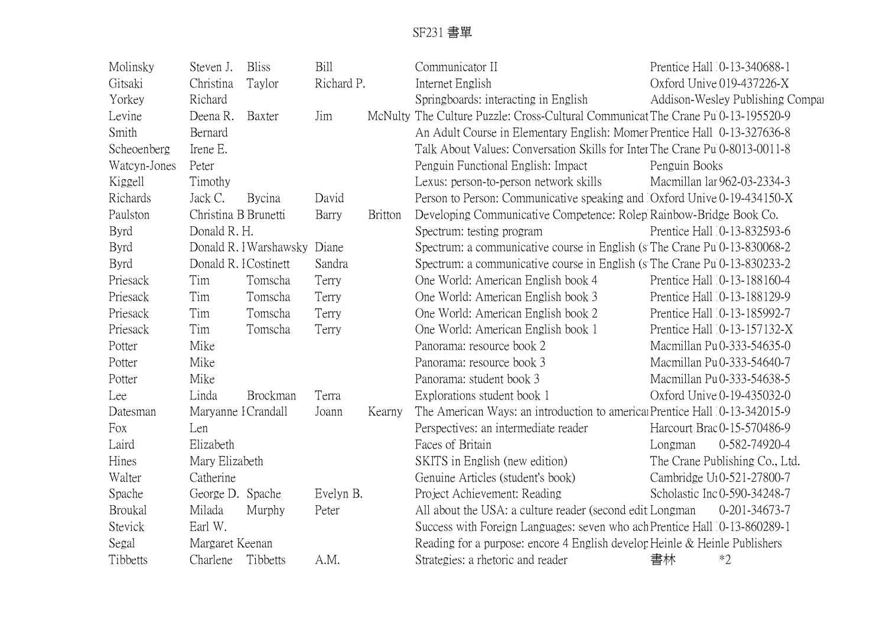| Molinsky       | Steven J.             | <b>Bliss</b>          | <b>Bill</b> |                | Communicator II                                                                  |               | Prentice Hall 0-13-340688-1            |
|----------------|-----------------------|-----------------------|-------------|----------------|----------------------------------------------------------------------------------|---------------|----------------------------------------|
| Gitsaki        | Christina             | Taylor                | Richard P.  |                | Internet English                                                                 |               | Oxford Unive 019-437226-X              |
| Yorkey         | Richard               |                       |             |                | Springboards: interacting in English                                             |               | Addison-Wesley Publishing Compar       |
| Levine         | Deena R.              | Baxter                | Jim         |                | McNulty The Culture Puzzle: Cross-Cultural Communicat The Crane Pu 0-13-195520-9 |               |                                        |
| Smith          | Bernard               |                       |             |                | An Adult Course in Elementary English: Momer Prentice Hall 0-13-327636-8         |               |                                        |
| Scheoenberg    | Irene E.              |                       |             |                | Talk About Values: Conversation Skills for Inter The Crane Pu 0-8013-0011-8      |               |                                        |
| Watcyn-Jones   | Peter                 |                       |             |                | Penguin Functional English: Impact                                               | Penguin Books |                                        |
| Kiggell        | Timothy               |                       |             |                | Lexus: person-to-person network skills                                           |               | Macmillan lar 962-03-2334-3            |
| Richards       | Jack C.               | Bycina                | David       |                | Person to Person: Communicative speaking and Oxford Unive 0-19-434150-X          |               |                                        |
| Paulston       | Christina B Brunetti  |                       | Barry       | <b>Britton</b> | Developing Communicative Competence: Rolep Rainbow-Bridge Book Co.               |               |                                        |
| <b>Byrd</b>    | Donald R. H.          |                       |             |                | Spectrum: testing program                                                        |               | Prentice Hall 0-13-832593-6            |
| <b>Byrd</b>    |                       | Donald R. IWarshawsky | Diane       |                | Spectrum: a communicative course in English (s The Crane Pu 0-13-830068-2        |               |                                        |
| <b>Byrd</b>    | Donald R. I Costinett |                       | Sandra      |                | Spectrum: a communicative course in English (s The Crane Pu 0-13-830233-2)       |               |                                        |
| Priesack       | Tim                   | Tomscha               | Terry       |                | One World: American English book 4                                               |               | Prentice Hall 0-13-188160-4            |
| Priesack       | Tim                   | Tomscha               | Terry       |                | One World: American English book 3                                               |               | Prentice Hall 0-13-188129-9            |
| Priesack       | Tim                   | Tomscha               | Terry       |                | One World: American English book 2                                               |               | Prentice Hall 0-13-185992-7            |
| Priesack       | Tim                   | Tomscha               | Terry       |                | One World: American English book 1                                               |               | Prentice Hall 0-13-157132-X            |
| Potter         | Mike                  |                       |             |                | Panorama: resource book 2                                                        |               | Macmillan Pu 0-333-54635-0             |
| Potter         | Mike                  |                       |             |                | Panorama: resource book 3                                                        |               | Macmillan Pu 0-333-54640-7             |
| Potter         | Mike                  |                       |             |                | Panorama: student book 3                                                         |               | Macmillan Pu0-333-54638-5              |
| Lee            | Linda                 | Brockman              | Terra       |                | Explorations student book 1                                                      |               | Oxford Unive 0-19-435032-0             |
| Datesman       | Maryanne I Crandall   |                       | Joann       | Kearny         | The American Ways: an introduction to americal Prentice Hall 0-13-342015-9       |               |                                        |
| Fox            | Len                   |                       |             |                | Perspectives: an intermediate reader                                             |               | Harcourt Brac 0-15-570486-9            |
| Laird          | Elizabeth             |                       |             |                | Faces of Britain                                                                 | Longman       | 0-582-74920-4                          |
| Hines          | Mary Elizabeth        |                       |             |                | SKITS in English (new edition)                                                   |               | The Crane Publishing Co., Ltd.         |
| Walter         | Catherine             |                       |             |                | Genuine Articles (student's book)                                                |               | Cambridge U <sub>1</sub> 0-521-27800-7 |
| Spache         | George D. Spache      |                       | Evelyn B.   |                | Project Achievement: Reading                                                     |               | Scholastic Inc0-590-34248-7            |
| <b>Broukal</b> | Milada                | Murphy                | Peter       |                | All about the USA: a culture reader (second edit Longman                         |               | 0-201-34673-7                          |
| Stevick        | Earl W.               |                       |             |                | Success with Foreign Languages: seven who ach Prentice Hall 0-13-860289-1        |               |                                        |
| Segal          | Margaret Keenan       |                       |             |                | Reading for a purpose: encore 4 English develop Heinle & Heinle Publishers       |               |                                        |
| Tibbetts       | Charlene              | Tibbetts              | A.M.        |                | Strategies: a rhetoric and reader                                                | 書林            | $*2$                                   |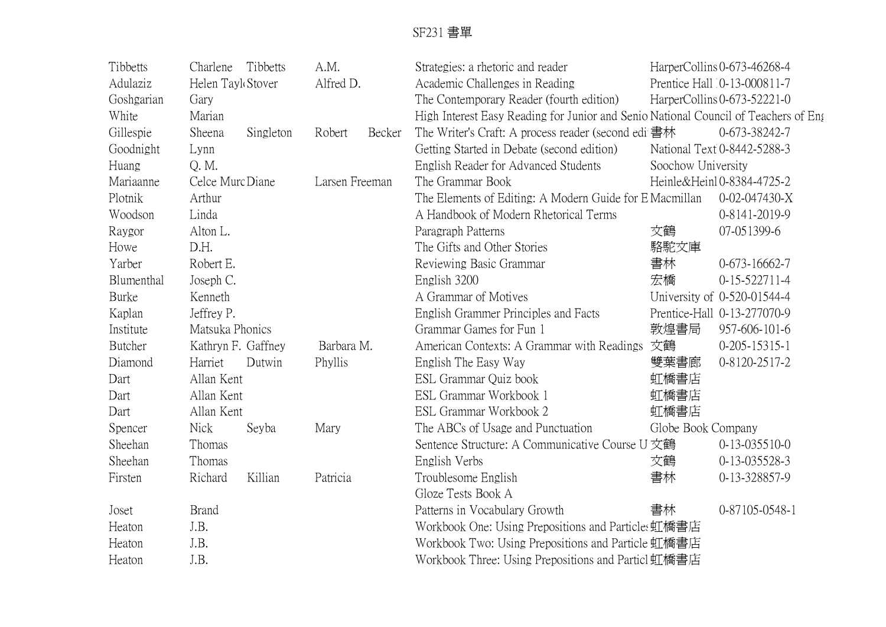| Tibbetts   | Charlene           | Tibbetts  | A.M.           |        | Strategies: a rhetoric and reader                                                   |                    | HarperCollins 0-673-46268-4 |
|------------|--------------------|-----------|----------------|--------|-------------------------------------------------------------------------------------|--------------------|-----------------------------|
| Adulaziz   | Helen Tayl Stover  |           | Alfred D.      |        | Academic Challenges in Reading                                                      |                    | Prentice Hall 0-13-000811-7 |
| Goshgarian | Gary               |           |                |        | The Contemporary Reader (fourth edition)                                            |                    | HarperCollins 0-673-52221-0 |
| White      | Marian             |           |                |        | High Interest Easy Reading for Junior and Senio National Council of Teachers of Eng |                    |                             |
| Gillespie  | Sheena             | Singleton | Robert         | Becker | The Writer's Craft: A process reader (second edi 書林                                 |                    | 0-673-38242-7               |
| Goodnight  | Lynn               |           |                |        | Getting Started in Debate (second edition)                                          |                    | National Text 0-8442-5288-3 |
| Huang      | Q.M.               |           |                |        | English Reader for Advanced Students                                                | Soochow University |                             |
| Mariaanne  | Celce Murc Diane   |           | Larsen Freeman |        | The Grammar Book                                                                    |                    | Heinle&Heinl 0-8384-4725-2  |
| Plotnik    | Arthur             |           |                |        | The Elements of Editing: A Modern Guide for E Macmillan                             |                    | 0-02-047430-X               |
| Woodson    | Linda              |           |                |        | A Handbook of Modern Rhetorical Terms                                               |                    | 0-8141-2019-9               |
| Raygor     | Alton L.           |           |                |        | Paragraph Patterns                                                                  | 文鶴                 | 07-051399-6                 |
| Howe       | D.H.               |           |                |        | The Gifts and Other Stories                                                         | 駱駝文庫               |                             |
| Yarber     | Robert E.          |           |                |        | Reviewing Basic Grammar                                                             | 書林                 | $0-673-16662-7$             |
| Blumenthal | Joseph C.          |           |                |        | English 3200                                                                        | 宏橋                 | $0-15-522711-4$             |
| Burke      | Kenneth            |           |                |        | A Grammar of Motives                                                                |                    | University of 0-520-01544-4 |
| Kaplan     | Jeffrey P.         |           |                |        | English Grammer Principles and Facts                                                |                    | Prentice-Hall 0-13-277070-9 |
| Institute  | Matsuka Phonics    |           |                |        | Grammar Games for Fun 1                                                             | 敦煌書局               | 957-606-101-6               |
| Butcher    | Kathryn F. Gaffney |           | Barbara M.     |        | American Contexts: A Grammar with Readings                                          | 文鶴                 | $0-205-15315-1$             |
| Diamond    | Harriet            | Dutwin    | Phyllis        |        | English The Easy Way                                                                | 雙葉書廊               | 0-8120-2517-2               |
| Dart       | Allan Kent         |           |                |        | ESL Grammar Quiz book                                                               | 虹橋書店               |                             |
| Dart       | Allan Kent         |           |                |        | ESL Grammar Workbook 1                                                              | 虹橋書店               |                             |
| Dart       | Allan Kent         |           |                |        | ESL Grammar Workbook 2                                                              | 虹橋書店               |                             |
| Spencer    | <b>Nick</b>        | Seyba     | Mary           |        | The ABCs of Usage and Punctuation                                                   | Globe Book Company |                             |
| Sheehan    | Thomas             |           |                |        | Sentence Structure: A Communicative Course U 文鶴                                     |                    | $0-13-035510-0$             |
| Sheehan    | Thomas             |           |                |        | English Verbs                                                                       | 文鶴                 | 0-13-035528-3               |
| Firsten    | Richard            | Killian   | Patricia       |        | Troublesome English                                                                 | 書林                 | 0-13-328857-9               |
|            |                    |           |                |        | Gloze Tests Book A                                                                  |                    |                             |
| Joset      | <b>Brand</b>       |           |                |        | Patterns in Vocabulary Growth                                                       | 書林                 | 0-87105-0548-1              |
| Heaton     | J.B.               |           |                |        | Workbook One: Using Prepositions and Particles虹橋書店                                  |                    |                             |
| Heaton     | J.B.               |           |                |        | Workbook Two: Using Prepositions and Particle 虹橋書店                                  |                    |                             |
| Heaton     | J.B.               |           |                |        | Workbook Three: Using Prepositions and Particl 虹橋書店                                 |                    |                             |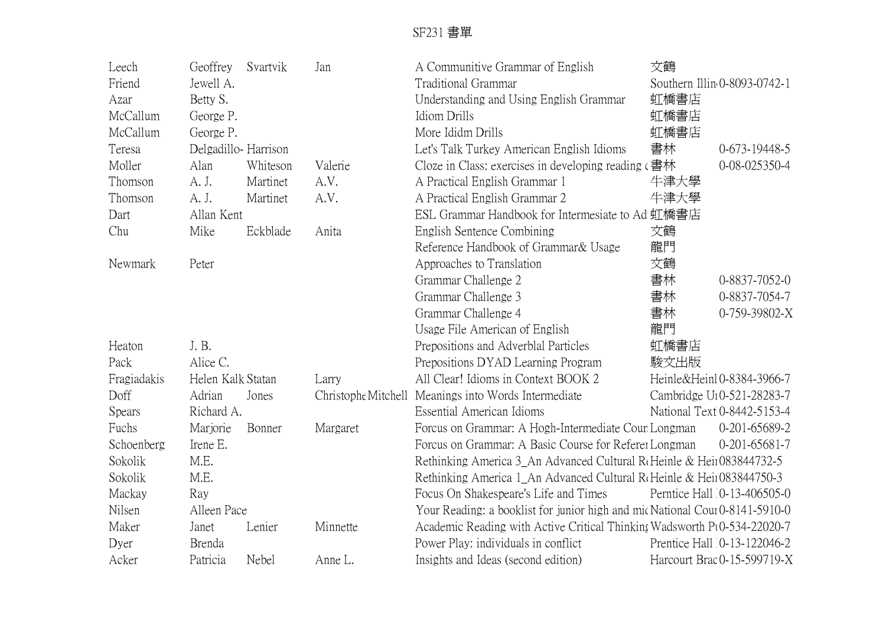| Leech          | Geoffrey            | Svartvik | Jan                 | A Communitive Grammar of English                                                  | 文鶴   |                                        |
|----------------|---------------------|----------|---------------------|-----------------------------------------------------------------------------------|------|----------------------------------------|
| Friend         | Jewell A.           |          |                     | Traditional Grammar                                                               |      | Southern Illin 0-8093-0742-1           |
| Azar           | Betty S.            |          |                     | Understanding and Using English Grammar                                           | 虹橋書店 |                                        |
| McCallum       | George P.           |          |                     | Idiom Drills                                                                      | 虹橋書店 |                                        |
| McCallum       | George P.           |          |                     | More Ididm Drills                                                                 | 虹橋書店 |                                        |
| Teresa         | Delgadillo-Harrison |          |                     | Let's Talk Turkey American English Idioms                                         | 書林   | 0-673-19448-5                          |
| Moller         | Alan                | Whiteson | Valerie             | Cloze in Class: exercises in developing reading $\epsilon \triangleq \frac{1}{2}$ |      | 0-08-025350-4                          |
| Thomson        | A. J.               | Martinet | A.V.                | A Practical English Grammar 1                                                     | 牛津大學 |                                        |
| Thomson        | A. J.               | Martinet | A.V.                | A Practical English Grammar 2                                                     | 牛津大學 |                                        |
| Dart           | Allan Kent          |          |                     | ESL Grammar Handbook for Intermesiate to Ad 虹橋書店                                  |      |                                        |
| Chu            | Mike                | Eckblade | Anita               | English Sentence Combining                                                        | 文鶴   |                                        |
|                |                     |          |                     | Reference Handbook of Grammar & Usage                                             | 龍門   |                                        |
| <b>Newmark</b> | Peter               |          |                     | Approaches to Translation                                                         | 文鶴   |                                        |
|                |                     |          |                     | Grammar Challenge 2                                                               | 書林   | 0-8837-7052-0                          |
|                |                     |          |                     | Grammar Challenge 3                                                               | 書林   | 0-8837-7054-7                          |
|                |                     |          |                     | Grammar Challenge 4                                                               | 書林   | 0-759-39802-X                          |
|                |                     |          |                     | Usage File American of English                                                    | 龍門   |                                        |
| Heaton         | J.B.                |          |                     | Prepositions and Adverblal Particles                                              | 虹橋書店 |                                        |
| Pack           | Alice C.            |          |                     | Prepositions DYAD Learning Program                                                | 駿文出版 |                                        |
| Fragiadakis    | Helen Kalk Statan   |          | Larry               | All Clear! Idioms in Context BOOK 2                                               |      | Heinle&Heinl0-8384-3966-7              |
| Doff           | Adrian              | Jones    | Christophe Mitchell | Meanings into Words Intermediate                                                  |      | Cambridge U <sub>1</sub> 0-521-28283-7 |
| Spears         | Richard A.          |          |                     | <b>Essential American Idioms</b>                                                  |      | National Text 0-8442-5153-4            |
| Fuchs          | Marjorie            | Bonner   | Margaret            | Forcus on Grammar: A Hogh-Intermediate Cour Longman                               |      | 0-201-65689-2                          |
| Schoenberg     | Irene E.            |          |                     | Forcus on Grammar: A Basic Course for Referer Longman                             |      | $0-201-65681-7$                        |
| Sokolik        | M.E.                |          |                     | Rethinking America 3_An Advanced Cultural R <sub>f</sub> Heinle & Hein083844732-5 |      |                                        |
| Sokolik        | M.E.                |          |                     | Rethinking America 1_An Advanced Cultural R <sub>f</sub> Heinle & Hein083844750-3 |      |                                        |
| Mackay         | Ray                 |          |                     | Focus On Shakespeare's Life and Times                                             |      | Perntice Hall 0-13-406505-0            |
| Nilsen         | Alleen Pace         |          |                     | Your Reading: a booklist for junior high and mic National Cour 0-8141-5910-0      |      |                                        |
| Maker          | Janet               | Lenier   | Minnette            | Academic Reading with Active Critical Thinking Wadsworth Pt0-534-22020-7          |      |                                        |
| Dyer           | Brenda              |          |                     | Power Play: individuals in conflict                                               |      | Prentice Hall 0-13-122046-2            |
| Acker          | Patricia            | Nebel    | Anne L.             | Insights and Ideas (second edition)                                               |      | Harcourt Brac 0-15-599719-X            |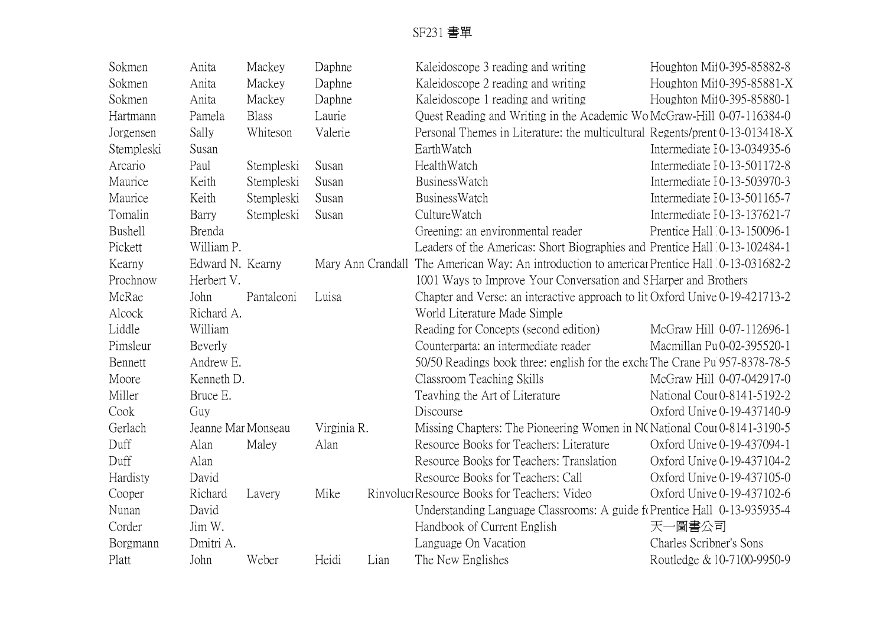| Sokmen     | Anita              | Mackey       | Daphne      |      | Kaleidoscope 3 reading and writing                                                          | Houghton Mi10-395-85882-8   |  |  |  |
|------------|--------------------|--------------|-------------|------|---------------------------------------------------------------------------------------------|-----------------------------|--|--|--|
| Sokmen     | Anita              | Mackey       | Daphne      |      | Kaleidoscope 2 reading and writing                                                          | Houghton Mi10-395-85881-X   |  |  |  |
| Sokmen     | Anita              | Mackey       | Daphne      |      | Kaleidoscope 1 reading and writing                                                          | Houghton Mil0-395-85880-1   |  |  |  |
| Hartmann   | Pamela             | <b>Blass</b> | Laurie      |      | Quest Reading and Writing in the Academic Wo McGraw-Hill 0-07-116384-0                      |                             |  |  |  |
| Jorgensen  | Sally              | Whiteson     | Valerie     |      | Personal Themes in Literature: the multicultural Regents/prent 0-13-013418-X                |                             |  |  |  |
| Stempleski | Susan              |              |             |      | EarthWatch                                                                                  | Intermediate I0-13-034935-6 |  |  |  |
| Arcario    | Paul               | Stempleski   | Susan       |      | HealthWatch                                                                                 | Intermediate I0-13-501172-8 |  |  |  |
| Maurice    | Keith              | Stempleski   | Susan       |      | BusinessWatch                                                                               | Intermediate I0-13-503970-3 |  |  |  |
| Maurice    | Keith              | Stempleski   | Susan       |      | BusinessWatch                                                                               | Intermediate I0-13-501165-7 |  |  |  |
| Tomalin    | Barry              | Stempleski   | Susan       |      | CultureWatch                                                                                | Intermediate 10-13-137621-7 |  |  |  |
| Bushell    | Brenda             |              |             |      | Greening: an environmental reader                                                           | Prentice Hall 0-13-150096-1 |  |  |  |
| Pickett    | William P.         |              |             |      | Leaders of the Americas: Short Biographies and Prentice Hall 0-13-102484-1                  |                             |  |  |  |
| Kearny     | Edward N. Kearny   |              |             |      | Mary Ann Crandall The American Way: An introduction to americar Prentice Hall 0-13-031682-2 |                             |  |  |  |
| Prochnow   | Herbert V.         |              |             |      | 1001 Ways to Improve Your Conversation and SHarper and Brothers                             |                             |  |  |  |
| McRae      | John               | Pantaleoni   | Luisa       |      | Chapter and Verse: an interactive approach to lit Oxford Unive 0-19-421713-2                |                             |  |  |  |
| Alcock     | Richard A.         |              |             |      | World Literature Made Simple                                                                |                             |  |  |  |
| Liddle     | William            |              |             |      | Reading for Concepts (second edition)                                                       | McGraw Hill 0-07-112696-1   |  |  |  |
| Pimsleur   | Beverly            |              |             |      | Counterparta: an intermediate reader                                                        | Macmillan Pu 0-02-395520-1  |  |  |  |
| Bennett    | Andrew E.          |              |             |      | 50/50 Readings book three: english for the exchat The Crane Pu 957-8378-78-5                |                             |  |  |  |
| Moore      | Kenneth D.         |              |             |      | Classroom Teaching Skills                                                                   | McGraw Hill 0-07-042917-0   |  |  |  |
| Miller     | Bruce E.           |              |             |      | Teavhing the Art of Literature                                                              | National Cour0-8141-5192-2  |  |  |  |
| Cook       | Guy                |              |             |      | Discourse                                                                                   | Oxford Unive 0-19-437140-9  |  |  |  |
| Gerlach    | Jeanne Mar Monseau |              | Virginia R. |      | Missing Chapters: The Pioneering Women in NC National Cour0-8141-3190-5                     |                             |  |  |  |
| Duff       | Alan               | Maley        | Alan        |      | Resource Books for Teachers: Literature                                                     | Oxford Unive 0-19-437094-1  |  |  |  |
| Duff       | Alan               |              |             |      | Resource Books for Teachers: Translation                                                    | Oxford Unive 0-19-437104-2  |  |  |  |
| Hardisty   | David              |              |             |      | Resource Books for Teachers: Call                                                           | Oxford Unive 0-19-437105-0  |  |  |  |
| Cooper     | Richard            | Lavery       | Mike        |      | Rinvoluci Resource Books for Teachers: Video                                                | Oxford Unive 0-19-437102-6  |  |  |  |
| Nunan      | David              |              |             |      | Understanding Language Classrooms: A guide for Prentice Hall 0-13-935935-4                  |                             |  |  |  |
| Corder     | Jim W.             |              |             |      | Handbook of Current English                                                                 | 天一圖書公司                      |  |  |  |
| Borgmann   | Dmitri A.          |              |             |      | Language On Vacation                                                                        | Charles Scribner's Sons     |  |  |  |
| Platt      | John               | Weber        | Heidi       | Lian | The New Englishes                                                                           | Routledge & 10-7100-9950-9  |  |  |  |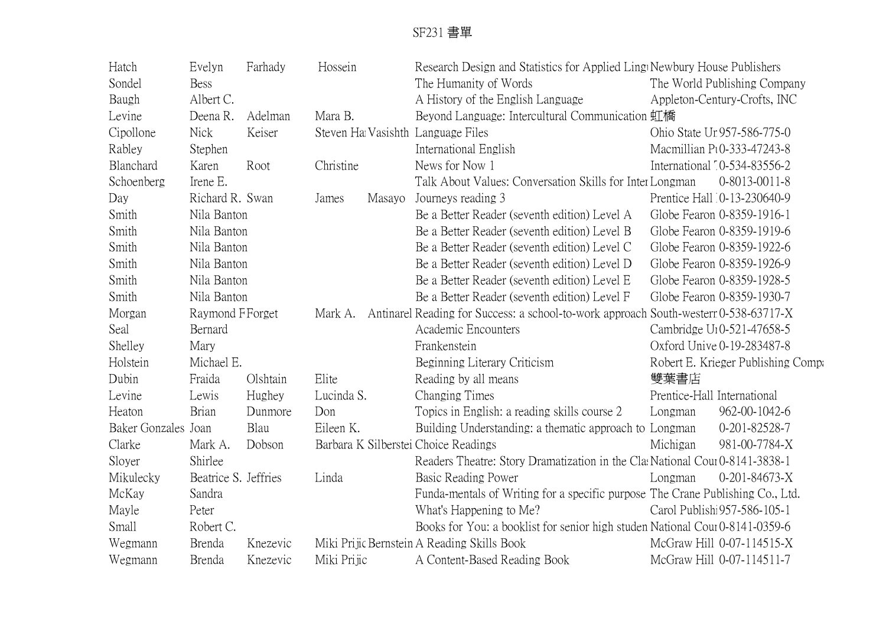| Hatch               | Evelyn<br>Farhady    |          | Hossein     |        | Research Design and Statistics for Applied Ling Newbury House Publishers             |                            |                                        |  |
|---------------------|----------------------|----------|-------------|--------|--------------------------------------------------------------------------------------|----------------------------|----------------------------------------|--|
| Sondel              | <b>Bess</b>          |          |             |        | The Humanity of Words                                                                |                            | The World Publishing Company           |  |
| Baugh               | Albert C.            |          |             |        | A History of the English Language                                                    |                            | Appleton-Century-Crofts, INC           |  |
| Levine              | Deena R.             | Adelman  | Mara B.     |        | Beyond Language: Intercultural Communication 虹橋                                      |                            |                                        |  |
| Cipollone           | <b>Nick</b>          | Keiser   |             |        | Steven Ha Vasishth Language Files                                                    |                            | Ohio State Un957-586-775-0             |  |
| Rabley              | Stephen              |          |             |        | International English                                                                |                            | Macmillian Pt0-333-47243-8             |  |
| Blanchard           | Karen                | Root     | Christine   |        | News for Now 1                                                                       |                            | International 10-534-83556-2           |  |
| Schoenberg          | Irene E.             |          |             |        | Talk About Values: Conversation Skills for Inter Longman                             |                            | 0-8013-0011-8                          |  |
| Day                 | Richard R. Swan      |          | James       | Masayo | Journeys reading 3                                                                   |                            | Prentice Hall 0-13-230640-9            |  |
| Smith               | Nila Banton          |          |             |        | Be a Better Reader (seventh edition) Level A                                         |                            | Globe Fearon 0-8359-1916-1             |  |
| Smith               | Nila Banton          |          |             |        | Be a Better Reader (seventh edition) Level B                                         |                            | Globe Fearon 0-8359-1919-6             |  |
| Smith               | Nila Banton          |          |             |        | Be a Better Reader (seventh edition) Level C                                         |                            | Globe Fearon 0-8359-1922-6             |  |
| Smith               | Nila Banton          |          |             |        | Be a Better Reader (seventh edition) Level D                                         |                            | Globe Fearon 0-8359-1926-9             |  |
| Smith               | Nila Banton          |          |             |        | Be a Better Reader (seventh edition) Level E                                         | Globe Fearon 0-8359-1928-5 |                                        |  |
| Smith               | Nila Banton          |          |             |        | Be a Better Reader (seventh edition) Level F                                         | Globe Fearon 0-8359-1930-7 |                                        |  |
| Morgan              | Raymond F Forget     |          | Mark A.     |        | Antinarel Reading for Success: a school-to-work approach South-western 0-538-63717-X |                            |                                        |  |
| Seal                | Bernard              |          |             |        | Academic Encounters                                                                  |                            | Cambridge U <sub>1</sub> 0-521-47658-5 |  |
| Shelley             | Mary                 |          |             |        | Frankenstein                                                                         |                            | Oxford Unive 0-19-283487-8             |  |
| Holstein            | Michael E.           |          |             |        | Beginning Literary Criticism                                                         |                            | Robert E. Krieger Publishing Compa     |  |
| Dubin               | Fraida               | Olshtain | Elite       |        | Reading by all means                                                                 | 雙葉書店                       |                                        |  |
| Levine              | Lewis                | Hughey   | Lucinda S.  |        | Changing Times                                                                       |                            | Prentice-Hall International            |  |
| Heaton              | <b>Brian</b>         | Dunmore  | Don         |        | Topics in English: a reading skills course 2                                         | Longman                    | 962-00-1042-6                          |  |
| Baker Gonzales Joan |                      | Blau     | Eileen K.   |        | Building Understanding: a thematic approach to Longman                               |                            | 0-201-82528-7                          |  |
| Clarke              | Mark A.              | Dobson   |             |        | Barbara K Silberstei Choice Readings                                                 | Michigan                   | 981-00-7784-X                          |  |
| Sloyer              | Shirlee              |          |             |        | Readers Theatre: Story Dramatization in the ClasNational Cour0-8141-3838-1           |                            |                                        |  |
| Mikulecky           | Beatrice S. Jeffries |          | Linda       |        | Basic Reading Power                                                                  | Longman                    | $0-201-84673-X$                        |  |
| McKay               | Sandra               |          |             |        | Funda-mentals of Writing for a specific purpose The Crane Publishing Co., Ltd.       |                            |                                        |  |
| Mayle               | Peter                |          |             |        | What's Happening to Me?                                                              |                            | Carol Publishi 957-586-105-1           |  |
| Small               | Robert C.            |          |             |        | Books for You: a booklist for senior high studen National Cour0-8141-0359-6          |                            |                                        |  |
| Wegmann             | Brenda               | Knezevic |             |        | Miki Prijic Bernstein A Reading Skills Book                                          |                            | McGraw Hill 0-07-114515-X              |  |
| Wegmann             | <b>Brenda</b>        | Knezevic | Miki Prijic |        | A Content-Based Reading Book                                                         |                            | McGraw Hill 0-07-114511-7              |  |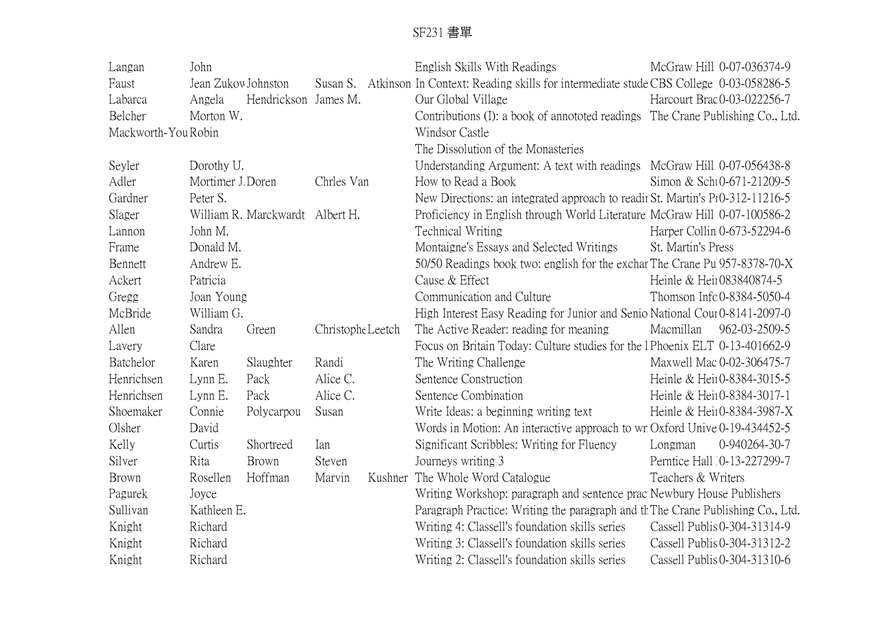| Langan              | John                |                                 |                   |  | English Skills With Readings                                                                   |                             | McGraw Hill 0-07-036374-9    |  |
|---------------------|---------------------|---------------------------------|-------------------|--|------------------------------------------------------------------------------------------------|-----------------------------|------------------------------|--|
| Faust               | Jean Zukow Johnston |                                 |                   |  | Susan S. Atkinson In Context: Reading skills for intermediate stude CBS College 10-03-058286-5 |                             |                              |  |
| Labarca             | Angela              | Hendrickson James M.            |                   |  | Our Global Village                                                                             |                             | Harcourt Brac 0-03-022256-7  |  |
| Belcher             | Morton W.           |                                 |                   |  | Contributions (I): a book of annototed readings The Crane Publishing Co., Ltd.                 |                             |                              |  |
| Mackworth-You Robin |                     |                                 |                   |  | Windsor Castle                                                                                 |                             |                              |  |
|                     |                     |                                 |                   |  | The Dissolution of the Monasteries                                                             |                             |                              |  |
| Seyler              | Dorothy U.          |                                 |                   |  | Understanding Argument: A text with readings McGraw Hill 0-07-056438-8                         |                             |                              |  |
| Adler               | Mortimer J. Doren   |                                 | Chrles Van        |  | How to Read a Book                                                                             |                             | Simon & Scht0-671-21209-5    |  |
| Gardner             | Peter S.            |                                 |                   |  | New Directions: an integrated approach to readir St. Martin's P10-312-11216-5                  |                             |                              |  |
| Slager              |                     | William R. Marckwardt Albert H. |                   |  | Proficiency in English through World Literature McGraw Hill 0-07-100586-2                      |                             |                              |  |
| Lannon              | John M.             |                                 |                   |  | Technical Writing                                                                              | Harper Collin 0-673-52294-6 |                              |  |
| Frame               | Donald M.           |                                 |                   |  | Montaigne's Essays and Selected Writings                                                       | St. Martin's Press          |                              |  |
| Bennett             | Andrew E.           |                                 |                   |  | 50/50 Readings book two: english for the exchar The Crane Pu 957-8378-70-X                     |                             |                              |  |
| Ackert              | Patricia            |                                 |                   |  | Cause & Effect                                                                                 | Heinle & Heir083840874-5    |                              |  |
| Gregg               | Joan Young          |                                 |                   |  | Communication and Culture                                                                      |                             | Thomson Infc 0-8384-5050-4   |  |
| McBride             | William G.          |                                 |                   |  | High Interest Easy Reading for Junior and Senio National Cour0-8141-2097-0                     |                             |                              |  |
| Allen               | Sandra              | Green                           | Christophe Leetch |  | The Active Reader: reading for meaning                                                         | Macmillan                   | 962-03-2509-5                |  |
| Lavery              | Clare               |                                 |                   |  | Focus on Britain Today: Culture studies for the 1Phoenix ELT 0-13-401662-9                     |                             |                              |  |
| Batchelor           | Karen               | Slaughter                       | Randi             |  | The Writing Challenge                                                                          |                             | Maxwell Mac 0-02-306475-7    |  |
| Henrichsen          | Lynn E.             | Pack                            | Alice C.          |  | Sentence Construction                                                                          |                             | Heinle & Heir0-8384-3015-5   |  |
| Henrichsen          | Lynn E.             | Pack                            | Alice C.          |  | Sentence Combination                                                                           |                             | Heinle & Hein0-8384-3017-1   |  |
| Shoemaker           | Connie              | Polycarpou                      | Susan             |  | Write Ideas: a beginning writing text                                                          |                             | Heinle & Hein0-8384-3987-X   |  |
| Olsher              | David               |                                 |                   |  | Words in Motion: An interactive approach to wr Oxford Unive 0-19-434452-5                      |                             |                              |  |
| Kelly               | Curtis              | Shortreed                       | Ian               |  | Significant Scribbles: Writing for Fluency                                                     | Longman                     | 0-940264-30-7                |  |
| Silver              | Rita                | Brown                           | Steven            |  | Journeys writing 3                                                                             |                             | Perntice Hall 0-13-227299-7  |  |
| Brown               | Rosellen            | Hoffman                         | Marvin            |  | Kushner The Whole Word Catalogue                                                               | Teachers & Writers          |                              |  |
| Pagurek             | Joyce               |                                 |                   |  | Writing Workshop: paragraph and sentence prac Newbury House Publishers                         |                             |                              |  |
| Sullivan            | Kathleen E.         |                                 |                   |  | Paragraph Practice: Writing the paragraph and the Crane Publishing Co., Ltd.                   |                             |                              |  |
| Knight              | Richard             |                                 |                   |  | Writing 4: Classell's foundation skills series                                                 |                             | Cassell Publis 0-304-31314-9 |  |
| Knight              | Richard             |                                 |                   |  | Writing 3: Classell's foundation skills series                                                 |                             | Cassell Publis 0-304-31312-2 |  |
| Knight              | Richard             |                                 |                   |  | Writing 2: Classell's foundation skills series                                                 |                             | Cassell Publis 0-304-31310-6 |  |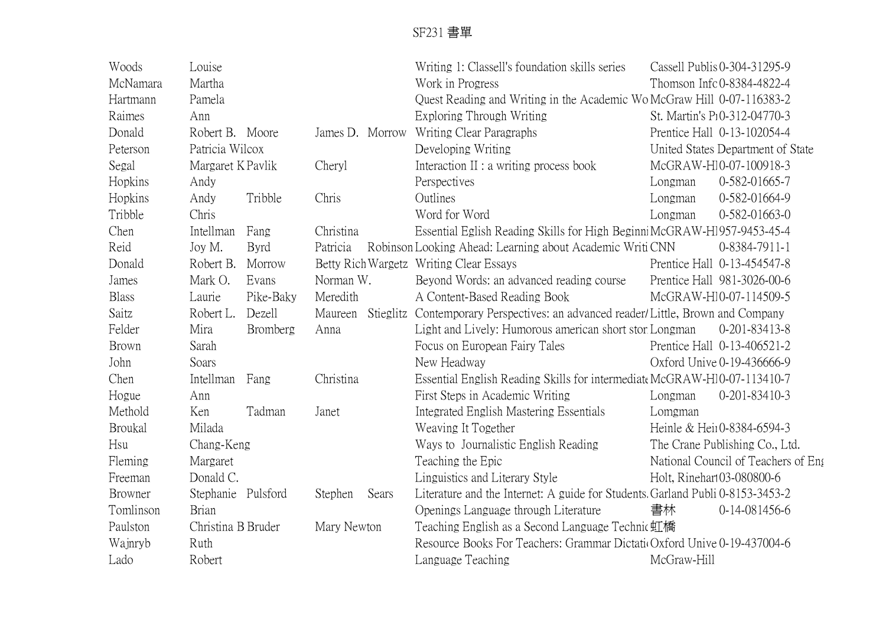| Woods          | Louise             |                 |             |       | Writing 1: Classell's foundation skills series                                    |                           | Cassell Publis 0-304-31295-9        |  |
|----------------|--------------------|-----------------|-------------|-------|-----------------------------------------------------------------------------------|---------------------------|-------------------------------------|--|
| McNamara       | Martha             |                 |             |       | Work in Progress                                                                  | Thomson Info0-8384-4822-4 |                                     |  |
| Hartmann       | Pamela             |                 |             |       | Quest Reading and Writing in the Academic Wo McGraw Hill 0-07-116383-2            |                           |                                     |  |
| Raimes         | Ann                |                 |             |       | Exploring Through Writing                                                         |                           | St. Martin's P10-312-04770-3        |  |
| Donald         | Robert B. Moore    |                 |             |       | James D. Morrow Writing Clear Paragraphs                                          |                           | Prentice Hall 0-13-102054-4         |  |
| Peterson       | Patricia Wilcox    |                 |             |       | Developing Writing                                                                |                           | United States Department of State   |  |
| Segal          | Margaret K Pavlik  |                 | Cheryl      |       | Interaction II : a writing process book                                           | McGRAW-H10-07-100918-3    |                                     |  |
| Hopkins        | Andy               |                 |             |       | Perspectives                                                                      | Longman                   | 0-582-01665-7                       |  |
| Hopkins        | Andy               | Tribble         | Chris       |       | Outlines                                                                          | Longman                   | 0-582-01664-9                       |  |
| Tribble        | Chris              |                 |             |       | Word for Word                                                                     | Longman                   | $0-582-01663-0$                     |  |
| Chen           | Intellman          | Fang            | Christina   |       | Essential Eglish Reading Skills for High BeginniMcGRAW-H1957-9453-45-4            |                           |                                     |  |
| Reid           | Joy M.             | <b>Byrd</b>     | Patricia    |       | Robinson Looking Ahead: Learning about Academic Writi CNN                         |                           | 0-8384-7911-1                       |  |
| Donald         | Robert B.          | Morrow          |             |       | Betty Rich Wargetz Writing Clear Essays                                           |                           | Prentice Hall 0-13-454547-8         |  |
| James          | Mark O.            | Evans           | Norman W.   |       | Beyond Words: an advanced reading course                                          |                           | Prentice Hall 981-3026-00-6         |  |
| <b>Blass</b>   | Laurie             | Pike-Baky       | Meredith    |       | A Content-Based Reading Book                                                      |                           | McGRAW-H10-07-114509-5              |  |
| Saitz          | Robert L.          | Dezell          | Maureen     |       | Stieglitz Contemporary Perspectives: an advanced reader/Little, Brown and Company |                           |                                     |  |
| Felder         | Mira               | <b>Bromberg</b> | Anna        |       | Light and Lively: Humorous american short stor Longman                            |                           | 0-201-83413-8                       |  |
| <b>Brown</b>   | Sarah              |                 |             |       | Focus on European Fairy Tales                                                     |                           | Prentice Hall 0-13-406521-2         |  |
| John           | Soars              |                 |             |       | New Headway                                                                       |                           | Oxford Unive 0-19-436666-9          |  |
| Chen           | Intellman Fang     |                 | Christina   |       | Essential English Reading Skills for intermediate McGRAW-H10-07-113410-7          |                           |                                     |  |
| Hogue          | Ann                |                 |             |       | First Steps in Academic Writing                                                   | Longman                   | 0-201-83410-3                       |  |
| Methold        | Ken                | Tadman          | Janet       |       | Integrated English Mastering Essentials                                           | Lomgman                   |                                     |  |
| <b>Broukal</b> | Milada             |                 |             |       | Weaving It Together                                                               |                           | Heinle & Heir0-8384-6594-3          |  |
| Hsu            | Chang-Keng         |                 |             |       | Ways to Journalistic English Reading                                              |                           | The Crane Publishing Co., Ltd.      |  |
| Fleming        | Margaret           |                 |             |       | Teaching the Epic                                                                 |                           | National Council of Teachers of Eng |  |
| Freeman        | Donald C.          |                 |             |       | Linguistics and Literary Style                                                    |                           | Holt, Rinehart03-080800-6           |  |
| <b>Browner</b> | Stephanie Pulsford |                 | Stephen     | Sears | Literature and the Internet: A guide for Students. Garland Publi 0-8153-3453-2    |                           |                                     |  |
| Tomlinson      | <b>Brian</b>       |                 |             |       | Openings Language through Literature                                              | 書林                        | 0-14-081456-6                       |  |
| Paulston       | Christina B Bruder |                 | Mary Newton |       | Teaching English as a Second Language Technic虹橋                                   |                           |                                     |  |
| Wajnryb        | Ruth               |                 |             |       | Resource Books For Teachers: Grammar Dictatio Oxford Unive 0-19-437004-6          |                           |                                     |  |
| Lado           | Robert             |                 |             |       | Language Teaching                                                                 | McGraw-Hill               |                                     |  |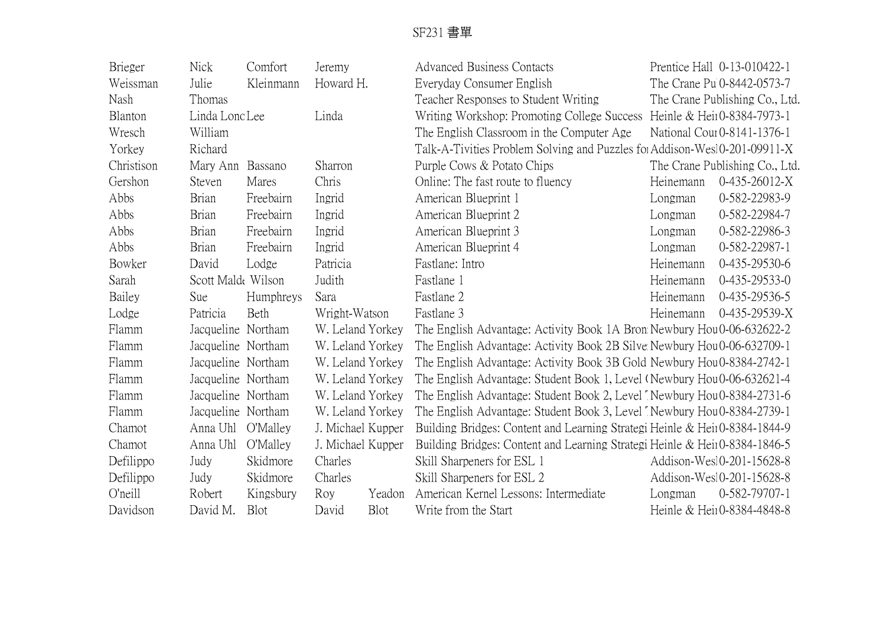| <b>Brieger</b> | <b>Nick</b>        | Comfort   | Jeremy            |        | <b>Advanced Business Contacts</b>                                          |           | Prentice Hall 0-13-010422-1    |  |  |
|----------------|--------------------|-----------|-------------------|--------|----------------------------------------------------------------------------|-----------|--------------------------------|--|--|
| Weissman       | Julie              | Kleinmann | Howard H.         |        | Everyday Consumer English                                                  |           | The Crane Pu 0-8442-0573-7     |  |  |
| Nash           | Thomas             |           |                   |        | Teacher Responses to Student Writing                                       |           | The Crane Publishing Co., Ltd. |  |  |
| Blanton        | Linda Lono Lee     |           | Linda             |        | Writing Workshop: Promoting College Success                                |           | Heinle & Hein0-8384-7973-1     |  |  |
| Wresch         | William            |           |                   |        | The English Classroom in the Computer Age                                  |           | National Cour0-8141-1376-1     |  |  |
| Yorkey         | Richard            |           |                   |        | Talk-A-Tivities Problem Solving and Puzzles for Addison-Wesl0-201-09911-X  |           |                                |  |  |
| Christison     | Mary Ann Bassano   |           | Sharron           |        | Purple Cows & Potato Chips                                                 |           | The Crane Publishing Co., Ltd. |  |  |
| Gershon        | Steven             | Mares     | Chris             |        | Online: The fast route to fluency                                          | Heinemann | $0-435-26012-X$                |  |  |
| Abbs           | <b>Brian</b>       | Freebairn | Ingrid            |        | American Blueprint 1                                                       | Longman   | 0-582-22983-9                  |  |  |
| Abbs           | <b>Brian</b>       | Freebairn | Ingrid            |        | American Blueprint 2                                                       | Longman   | 0-582-22984-7                  |  |  |
| Abbs           | <b>Brian</b>       | Freebairn | Ingrid            |        | American Blueprint 3                                                       | Longman   | 0-582-22986-3                  |  |  |
| Abbs           | Brian              | Freebairn | Ingrid            |        | American Blueprint 4                                                       | Longman   | 0-582-22987-1                  |  |  |
| Bowker         | David              | Lodge     | Patricia          |        | Fastlane: Intro                                                            | Heinemann | 0-435-29530-6                  |  |  |
| Sarah          | Scott Malde Wilson |           | Judith            |        | Fastlane 1                                                                 | Heinemann | 0-435-29533-0                  |  |  |
| Bailey         | Sue                | Humphreys | Sara              |        | Fastlane 2                                                                 | Heinemann | 0-435-29536-5                  |  |  |
| Lodge          | Patricia           | Beth      | Wright-Watson     |        | Fastlane 3                                                                 | Heinemann | $0-435-29539-X$                |  |  |
| Flamm          | Jacqueline Northam |           | W. Leland Yorkey  |        | The English Advantage: Activity Book 1A Bron Newbury Hou0-06-632622-2      |           |                                |  |  |
| Flamm          | Jacqueline Northam |           | W. Leland Yorkey  |        | The English Advantage: Activity Book 2B Silve: Newbury Hou0-06-632709-1    |           |                                |  |  |
| Flamm          | Jacqueline Northam |           | W. Leland Yorkey  |        | The English Advantage: Activity Book 3B Gold Newbury Hou 0-8384-2742-1     |           |                                |  |  |
| Flamm          | Jacqueline Northam |           | W. Leland Yorkey  |        | The English Advantage: Student Book 1, Level (Newbury Hou 0-06-632621-4)   |           |                                |  |  |
| Flamm          | Jacqueline Northam |           | W. Leland Yorkey  |        | The English Advantage: Student Book 2, Level TNewbury Hou 0-8384-2731-6    |           |                                |  |  |
| Flamm          | Jacqueline Northam |           | W. Leland Yorkey  |        | The English Advantage: Student Book 3, Level TNewbury Hou 0-8384-2739-1    |           |                                |  |  |
| Chamot         | Anna Uhl           | O'Malley  | J. Michael Kupper |        | Building Bridges: Content and Learning Strategi Heinle & Heir0-8384-1844-9 |           |                                |  |  |
| Chamot         | Anna Uhl           | O'Malley  | J. Michael Kupper |        | Building Bridges: Content and Learning Strategi Heinle & Hein0-8384-1846-5 |           |                                |  |  |
| Defilippo      | Judy               | Skidmore  | Charles           |        | Skill Sharpeners for ESL 1                                                 |           | Addison-Wes10-201-15628-8      |  |  |
| Defilippo      | Judy               | Skidmore  | Charles           |        | Skill Sharpeners for ESL 2                                                 |           | Addison-Wesl0-201-15628-8      |  |  |
| O'neill        | Robert             | Kingsbury | Roy               | Yeadon | American Kernel Lessons: Intermediate                                      | Longman   | 0-582-79707-1                  |  |  |
| Davidson       | David M.           | Blot      | David             | Blot   | Write from the Start                                                       |           | Heinle & Hein0-8384-4848-8     |  |  |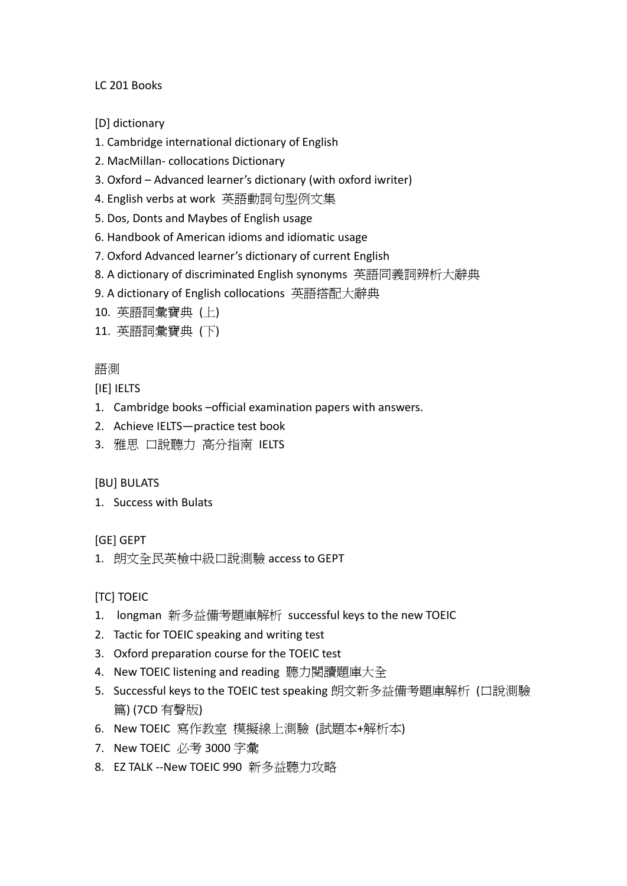LC 201 Books

[D] dictionary

- 1. Cambridge international dictionary of English
- 2. MacMillan‐ collocations Dictionary
- 3. Oxford Advanced learner's dictionary (with oxford iwriter)
- 4. English verbs at work 英語動詞句型例文集
- 5. Dos, Donts and Maybes of English usage
- 6. Handbook of American idioms and idiomatic usage
- 7. Oxford Advanced learner's dictionary of current English
- 8. A dictionary of discriminated English synonyms 英語同義詞辨析大辭典
- 9. A dictionary of English collocations 英語搭配大辭典
- 10. 英語詞彙寶典 (上)
- 11. 英語詞彙寶典 (下)

#### 語測

[IE] IELTS

- 1. Cambridge books –official examination papers with answers.
- 2. Achieve IELTS—practice test book
- 3. 雅思 口說聽力 高分指南 IELTS

#### [BU] BULATS

1. Success with Bulats

#### [GE] GEPT

1. 朗文全民英檢中級口說測驗 access to GEPT

[TC] TOEIC

- 1. longman 新多益備考題庫解析 successful keys to the new TOEIC
- 2. Tactic for TOEIC speaking and writing test
- 3. Oxford preparation course for the TOEIC test
- 4. New TOEIC listening and reading 聽力閱讀題庫大全
- 5. Successful keys to the TOEIC test speaking 朗文新多益備考題庫解析 (口說測驗 篇) (7CD 有聲版)
- 6. New TOEIC 寫作教室 模擬線上測驗 (試題本+解析本)
- 7. New TOEIC 必考 3000 字彙
- 8. EZ TALK ‐‐New TOEIC 990 新多益聽力攻略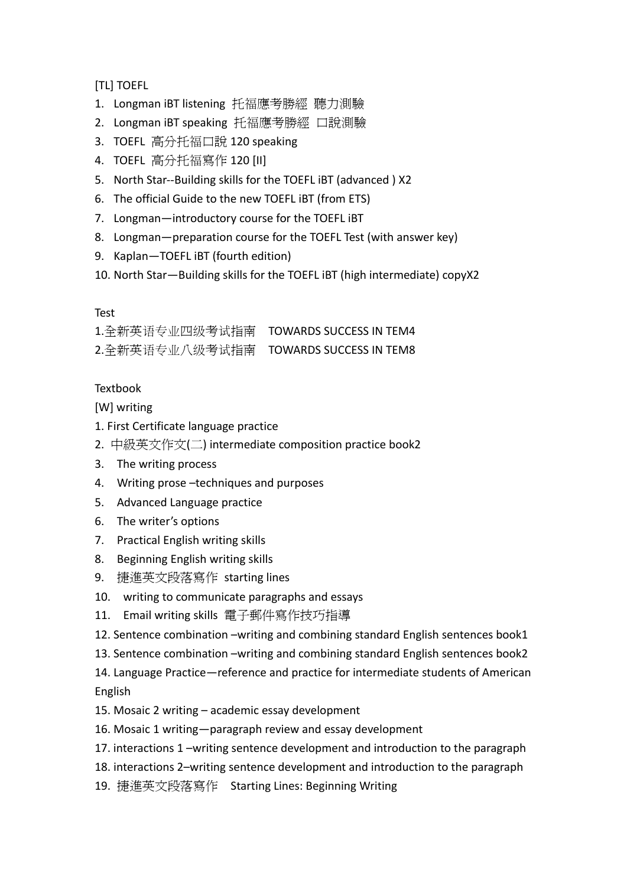[TL] TOEFL

- 1. Longman iBT listening 托福應考勝經 聽力測驗
- 2. Longman iBT speaking 托福應考勝經 口說測驗
- 3. TOEFL 高分托福口說 120 speaking
- 4. TOEFL 高分托福寫作 120 [II]
- 5. North Star--Building skills for the TOEFL IBT (advanced) X2
- 6. The official Guide to the new TOEFL iBT (from ETS)
- 7. Longman—introductory course for the TOEFL iBT
- 8. Longman—preparation course for the TOEFL Test (with answer key)
- 9. Kaplan—TOEFL iBT (fourth edition)
- 10. North Star—Building skills for the TOEFL iBT (high intermediate) copyX2

#### Test

1.全新英语专业四级考试指南 TOWARDS SUCCESS IN TEM4 2.全新英语专业八级考试指南 TOWARDS SUCCESS IN TEM8

#### **Textbook**

[W] writing

- 1. First Certificate language practice
- 2. 中級英文作文(二) intermediate composition practice book2
- 3. The writing process
- 4. Writing prose -techniques and purposes
- 5. Advanced Language practice
- 6. The writer's options
- 7. Practical English writing skills
- 8. Beginning English writing skills
- 9. 捷進英文段落寫作 starting lines
- 10. writing to communicate paragraphs and essays
- 11. Email writing skills 電子郵件寫作技巧指導
- 12. Sentence combination –writing and combining standard English sentences book1
- 13. Sentence combination –writing and combining standard English sentences book2

14. Language Practice—reference and practice for intermediate students of American English

- 15. Mosaic 2 writing academic essay development
- 16. Mosaic 1 writing—paragraph review and essay development
- 17. interactions 1 –writing sentence development and introduction to the paragraph
- 18. interactions 2–writing sentence development and introduction to the paragraph
- 19. 捷進英文段落寫作 Starting Lines: Beginning Writing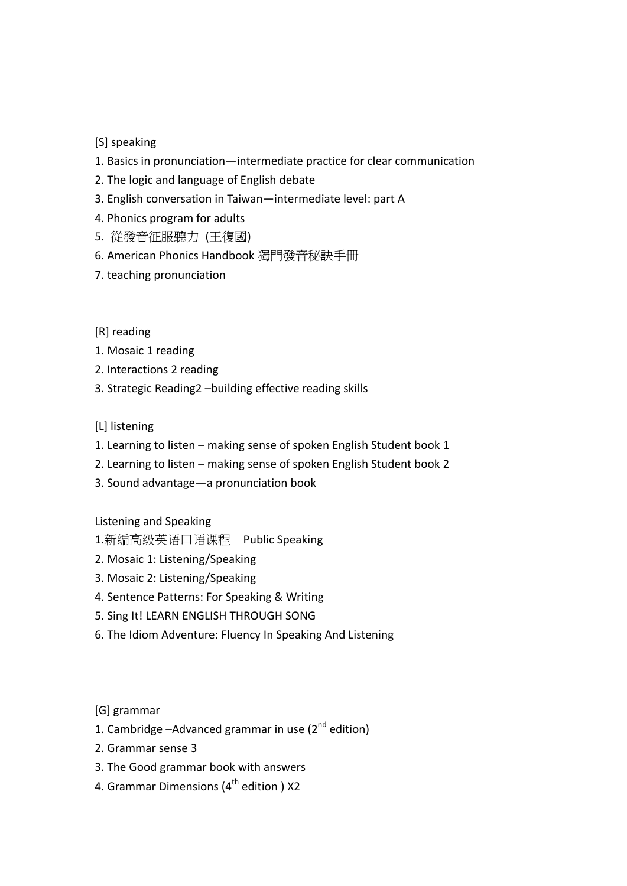#### [S] speaking

- 1. Basics in pronunciation—intermediate practice for clear communication
- 2. The logic and language of English debate
- 3. English conversation in Taiwan—intermediate level: part A
- 4. Phonics program for adults
- 5. 從發音征服聽力 (王復國)
- 6. American Phonics Handbook 獨門發音秘訣手冊
- 7. teaching pronunciation

#### [R] reading

- 1. Mosaic 1 reading
- 2. Interactions 2 reading
- 3. Strategic Reading2 –building effective reading skills

#### [L] listening

- 1. Learning to listen making sense of spoken English Student book 1
- 2. Learning to listen making sense of spoken English Student book 2
- 3. Sound advantage—a pronunciation book

Listening and Speaking

- 1.新编高级英语口语课程 Public Speaking
- 2. Mosaic 1: Listening/Speaking
- 3. Mosaic 2: Listening/Speaking
- 4. Sentence Patterns: For Speaking & Writing
- 5. Sing It! LEARN ENGLISH THROUGH SONG
- 6. The Idiom Adventure: Fluency In Speaking And Listening

[G] grammar

- 1. Cambridge  $-$ Advanced grammar in use ( $2<sup>nd</sup>$  edition)
- 2. Grammar sense 3
- 3. The Good grammar book with answers
- 4. Grammar Dimensions (4<sup>th</sup> edition ) X2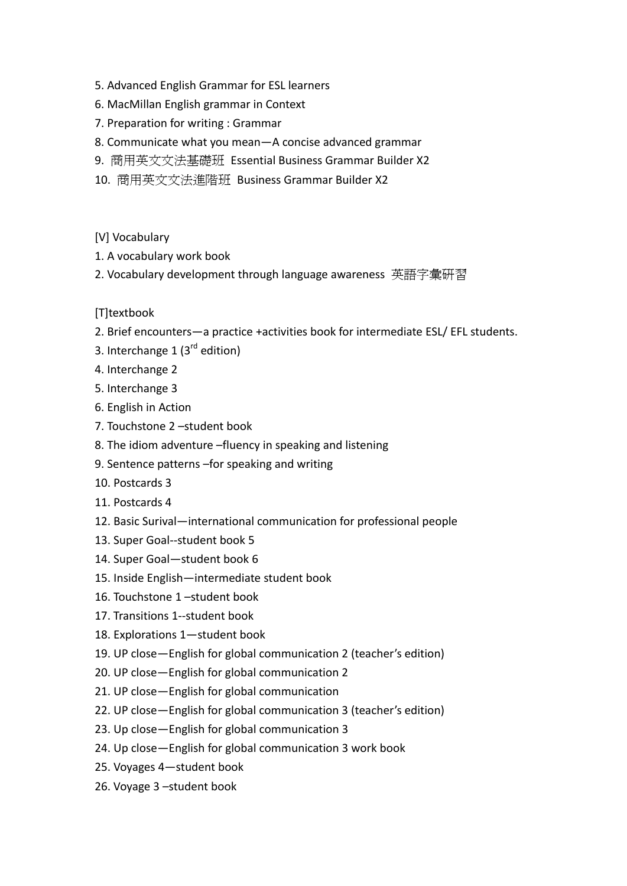- 5. Advanced English Grammar for ESL learners
- 6. MacMillan English grammar in Context
- 7. Preparation for writing : Grammar
- 8. Communicate what you mean—A concise advanced grammar
- 9. 商用英文文法基礎班 Essential Business Grammar Builder X2
- 10. 商用英文文法進階班 Business Grammar Builder X2
- [V] Vocabulary
- 1. A vocabulary work book
- 2. Vocabulary development through language awareness 英語字彙研習

#### [T]textbook

- 2. Brief encounters—a practice +activities book for intermediate ESL/ EFL students.
- 3. Interchange 1  $(3^{rd}$  edition)
- 4. Interchange 2
- 5. Interchange 3
- 6. English in Action
- 7. Touchstone 2 –student book
- 8. The idiom adventure –fluency in speaking and listening
- 9. Sentence patterns –for speaking and writing
- 10. Postcards 3
- 11. Postcards 4
- 12. Basic Surival—international communication for professional people
- 13. Super Goal‐‐student book 5
- 14. Super Goal—student book 6
- 15. Inside English—intermediate student book
- 16. Touchstone 1 –student book
- 17. Transitions 1‐‐student book
- 18. Explorations 1—student book
- 19. UP close—English for global communication 2 (teacher's edition)
- 20. UP close—English for global communication 2
- 21. UP close—English for global communication
- 22. UP close—English for global communication 3 (teacher's edition)
- 23. Up close—English for global communication 3
- 24. Up close—English for global communication 3 work book
- 25. Voyages 4—student book
- 26. Voyage 3 –student book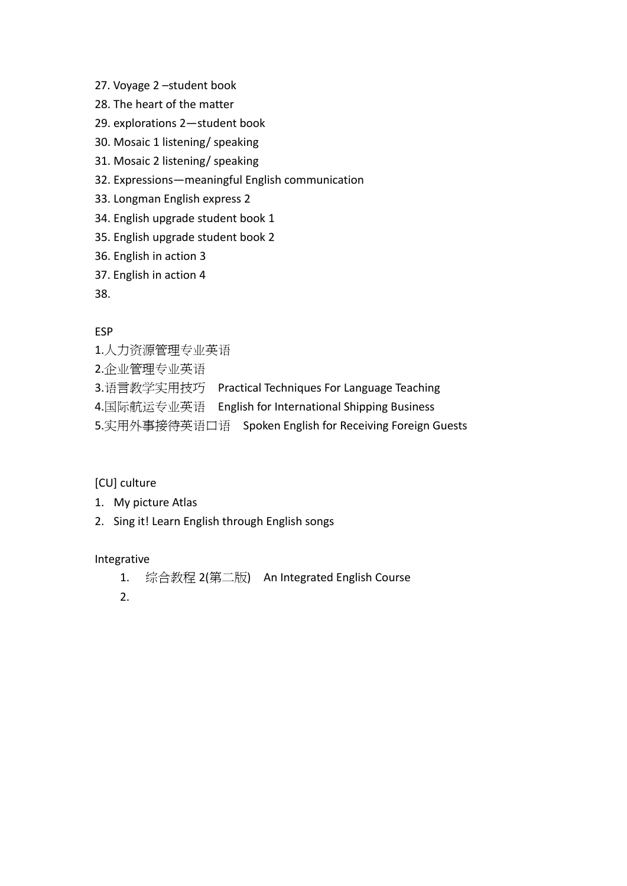- 27. Voyage 2 –student book
- 28. The heart of the matter
- 29. explorations 2—student book
- 30. Mosaic 1 listening/ speaking
- 31. Mosaic 2 listening/ speaking
- 32. Expressions—meaningful English communication
- 33. Longman English express 2
- 34. English upgrade student book 1
- 35. English upgrade student book 2
- 36. English in action 3
- 37. English in action 4

38.

#### ESP

- 1.人力资源管理专业英语
- 2.企业管理专业英语
- 3.语言教学实用技巧 Practical Techniques For Language Teaching
- 4.国际航运专业英语 English for International Shipping Business
- 5.实用外事接待英语口语 Spoken English for Receiving Foreign Guests

#### [CU] culture

- 1. My picture Atlas
- 2. Sing it! Learn English through English songs

#### Integrative

- 1. 综合教程 2(第二版) An Integrated English Course
- 2.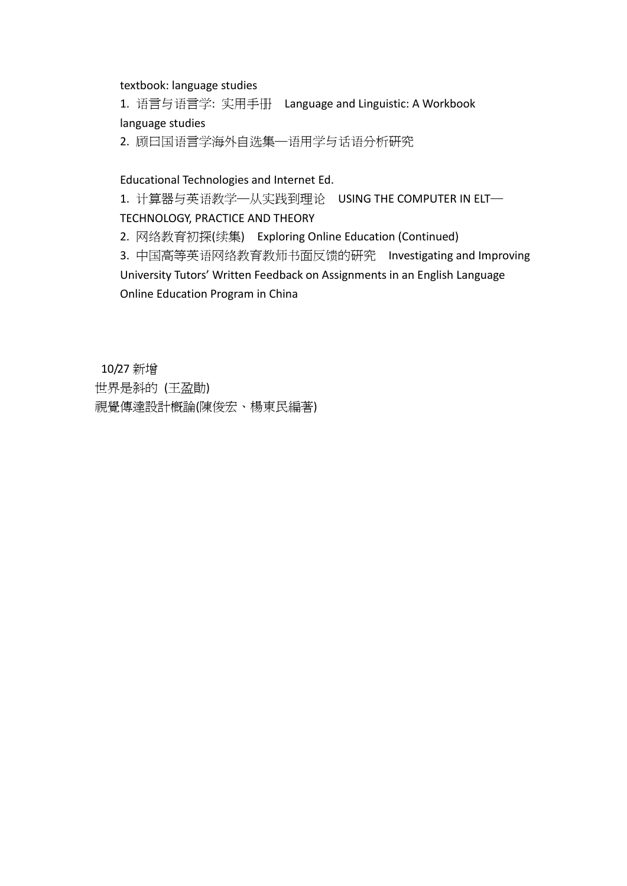#### textbook: language studies

1. 语言与语言学: 实用手册 Language and Linguistic: A Workbook language studies

2. 顾曰国语言学海外自选集─语用学与话语分析研究

#### Educational Technologies and Internet Ed.

1. 计算器与英语教学—从实践到理论 USING THE COMPUTER IN ELT—

#### TECHNOLOGY, PRACTICE AND THEORY

2. 网络教育初探(续集) Exploring Online Education (Continued)

3. 中国高等英语网络教育教师书面反馈的研究 Investigating and Improving University Tutors' Written Feedback on Assignments in an English Language Online Education Program in China

10/27 新增 世界是斜的 (王盈勛) 視覺傳達設計概論(陳俊宏、楊東民編著)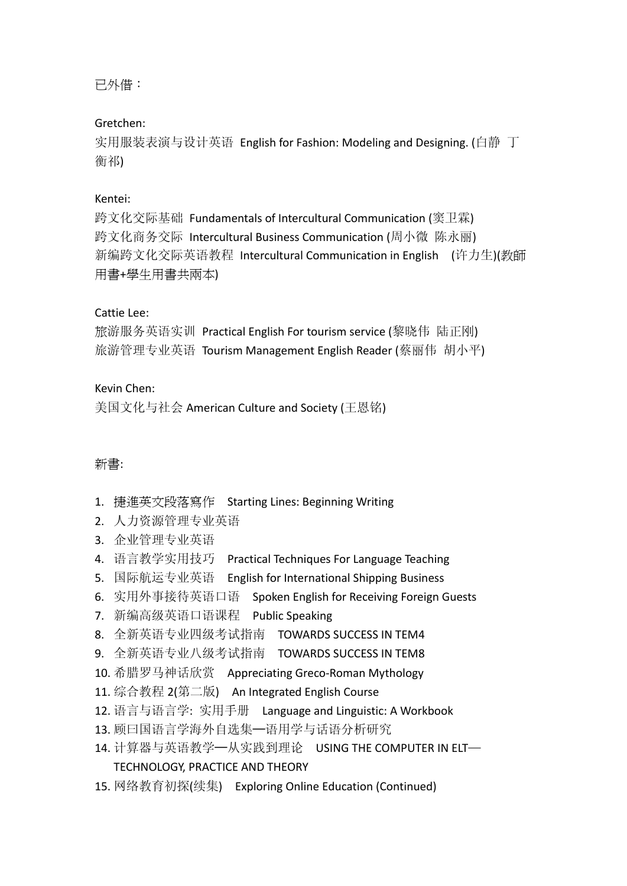已外借:

#### Gretchen:

实用服装表演与设计英语 English for Fashion: Modeling and Designing. (白静 丁 衡祁)

#### Kentei:

跨文化交际基础 Fundamentals of Intercultural Communication (窦卫霖) 跨文化商务交际 Intercultural Business Communication (周小微 陈永丽) 新编跨文化交际英语教程 Intercultural Communication in English (许力生)(教師 用書+學生用書共兩本)

#### Cattie Lee:

旅游服务英语实训 Practical English For tourism service (黎晓伟 陆正刚) 旅游管理专业英语 Tourism Management English Reader (蔡丽伟 胡小平)

#### Kevin Chen:

美国文化与社会 American Culture and Society (王恩铭)

#### 新書:

- 1. 捷進英文段落寫作 Starting Lines: Beginning Writing
- 2. 人力资源管理专业英语
- 3. 企业管理专业英语
- 4. 语言教学实用技巧 Practical Techniques For Language Teaching
- 5. 国际航运专业英语 English for International Shipping Business
- 6. 实用外事接待英语口语 Spoken English for Receiving Foreign Guests
- 7. 新编高级英语口语课程 Public Speaking
- 8. 全新英语专业四级考试指南 TOWARDS SUCCESS IN TEM4
- 9. 全新英语专业八级考试指南 TOWARDS SUCCESS IN TEM8
- 10. 希腊罗马神话欣赏 Appreciating Greco-Roman Mythology
- 11. 综合教程 2(第二版) An Integrated English Course
- 12. 语言与语言学: 实用手册 Language and Linguistic: A Workbook
- 13. 顾曰国语言学海外自选集—语用学与话语分析研究
- 14. 计算器与英语教学—从实践到理论 USING THE COMPUTER IN ELT—

### TECHNOLOGY, PRACTICE AND THEORY

15. 网络教育初探(续集) Exploring Online Education (Continued)